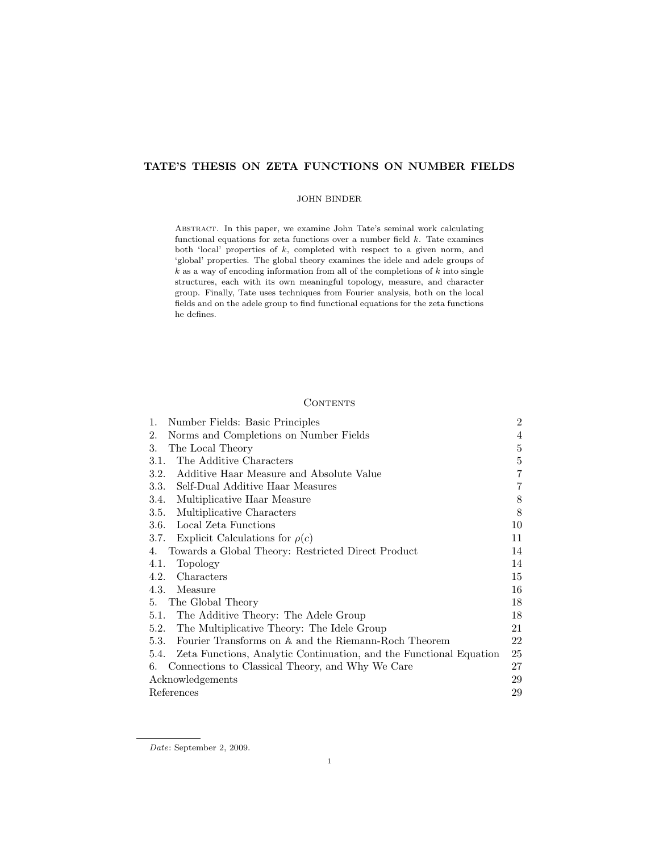# TATE'S THESIS ON ZETA FUNCTIONS ON NUMBER FIELDS

### JOHN BINDER

Abstract. In this paper, we examine John Tate's seminal work calculating functional equations for zeta functions over a number field  $k$ . Tate examines both 'local' properties of k, completed with respect to a given norm, and 'global' properties. The global theory examines the idele and adele groups of  $k$  as a way of encoding information from all of the completions of  $k$  into single structures, each with its own meaningful topology, measure, and character group. Finally, Tate uses techniques from Fourier analysis, both on the local fields and on the adele group to find functional equations for the zeta functions he defines.

# **CONTENTS**

| 1.<br>Number Fields: Basic Principles                                   | $\overline{2}$ |
|-------------------------------------------------------------------------|----------------|
| 2.<br>Norms and Completions on Number Fields                            | 4              |
| 3.<br>The Local Theory                                                  | 5              |
| The Additive Characters<br>3.1.                                         | 5              |
| Additive Haar Measure and Absolute Value<br>3.2.                        | $\overline{7}$ |
| 3.3.<br>Self-Dual Additive Haar Measures                                | 7              |
| 3.4.<br>Multiplicative Haar Measure                                     | 8              |
| 3.5.<br>Multiplicative Characters                                       | 8              |
| Local Zeta Functions<br>3.6.                                            | 10             |
| Explicit Calculations for $\rho(c)$<br>3.7.                             | 11             |
| Towards a Global Theory: Restricted Direct Product<br>4.                | 14             |
| 4.1.<br>Topology                                                        | 14             |
| Characters<br>4.2.                                                      | 15             |
| 4.3.<br>Measure                                                         | 16             |
| The Global Theory<br>5.                                                 | 18             |
| The Additive Theory: The Adele Group<br>5.1.                            | 18             |
| The Multiplicative Theory: The Idele Group<br>5.2.                      | 21             |
| Fourier Transforms on A and the Riemann-Roch Theorem<br>5.3.            | 22             |
| 5.4. Zeta Functions, Analytic Continuation, and the Functional Equation | 25             |
| Connections to Classical Theory, and Why We Care<br>6.                  | 27             |
| Acknowledgements                                                        | 29             |
| References                                                              | 29             |

Date: September 2, 2009.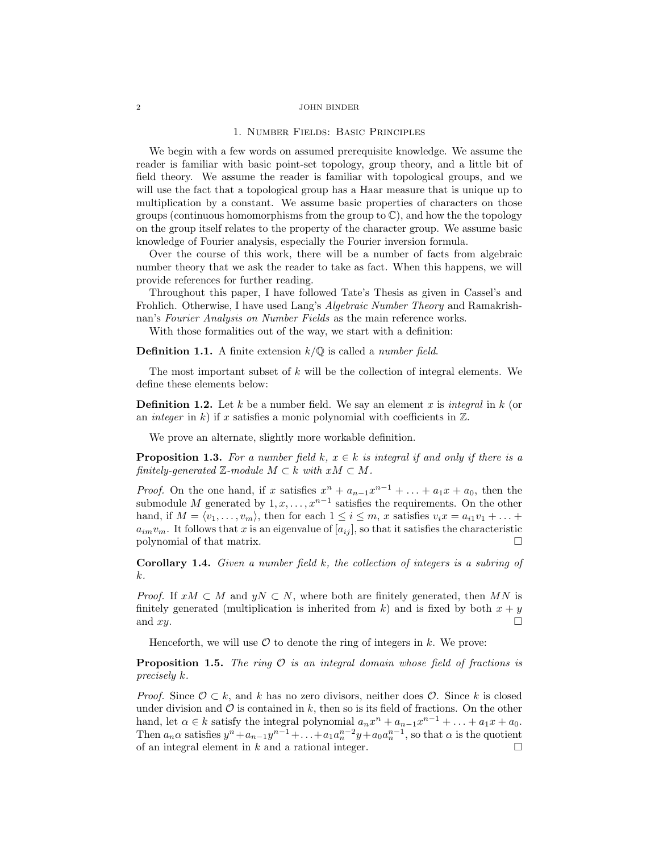#### 1. Number Fields: Basic Principles

We begin with a few words on assumed prerequisite knowledge. We assume the reader is familiar with basic point-set topology, group theory, and a little bit of field theory. We assume the reader is familiar with topological groups, and we will use the fact that a topological group has a Haar measure that is unique up to multiplication by a constant. We assume basic properties of characters on those groups (continuous homomorphisms from the group to  $\mathbb{C}$ ), and how the the topology on the group itself relates to the property of the character group. We assume basic knowledge of Fourier analysis, especially the Fourier inversion formula.

Over the course of this work, there will be a number of facts from algebraic number theory that we ask the reader to take as fact. When this happens, we will provide references for further reading.

Throughout this paper, I have followed Tate's Thesis as given in Cassel's and Frohlich. Otherwise, I have used Lang's Algebraic Number Theory and Ramakrishnan's Fourier Analysis on Number Fields as the main reference works.

With those formalities out of the way, we start with a definition:

**Definition 1.1.** A finite extension  $k/\mathbb{Q}$  is called a *number field*.

The most important subset of  $k$  will be the collection of integral elements. We define these elements below:

**Definition 1.2.** Let k be a number field. We say an element x is integral in k (or an *integer* in  $k$ ) if x satisfies a monic polynomial with coefficients in  $\mathbb{Z}$ .

We prove an alternate, slightly more workable definition.

**Proposition 1.3.** For a number field k,  $x \in k$  is integral if and only if there is a finitely-generated  $\mathbb{Z}$ -module  $M \subset k$  with  $xM \subset M$ .

*Proof.* On the one hand, if x satisfies  $x^n + a_{n-1}x^{n-1} + \ldots + a_1x + a_0$ , then the submodule M generated by  $1, x, \ldots, x^{n-1}$  satisfies the requirements. On the other hand, if  $M = \langle v_1, \ldots, v_m \rangle$ , then for each  $1 \leq i \leq m$ , x satisfies  $v_i x = a_{i1} v_1 + \ldots + a_{i1} v_m$  $a_{im}v_m$ . It follows that x is an eigenvalue of  $[a_{ij}]$ , so that it satisfies the characteristic polynomial of that matrix.

Corollary 1.4. Given a number field k, the collection of integers is a subring of k.

*Proof.* If  $xM \subset M$  and  $yN \subset N$ , where both are finitely generated, then MN is finitely generated (multiplication is inherited from k) and is fixed by both  $x + y$ and  $xy$ .

Henceforth, we will use  $\mathcal O$  to denote the ring of integers in k. We prove:

**Proposition 1.5.** The ring  $\mathcal O$  is an integral domain whose field of fractions is precisely k.

*Proof.* Since  $\mathcal{O} \subset k$ , and k has no zero divisors, neither does  $\mathcal{O}$ . Since k is closed under division and  $\mathcal O$  is contained in k, then so is its field of fractions. On the other hand, let  $\alpha \in k$  satisfy the integral polynomial  $a_n x^n + a_{n-1} x^{n-1} + \ldots + a_1 x + a_0$ . Then  $a_n \alpha$  satisfies  $y^n + a_{n-1}y^{n-1} + \ldots + a_1 a_n^{n-2} y + a_0 a_n^{n-1}$ , so that  $\alpha$  is the quotient of an integral element in k and a rational integer.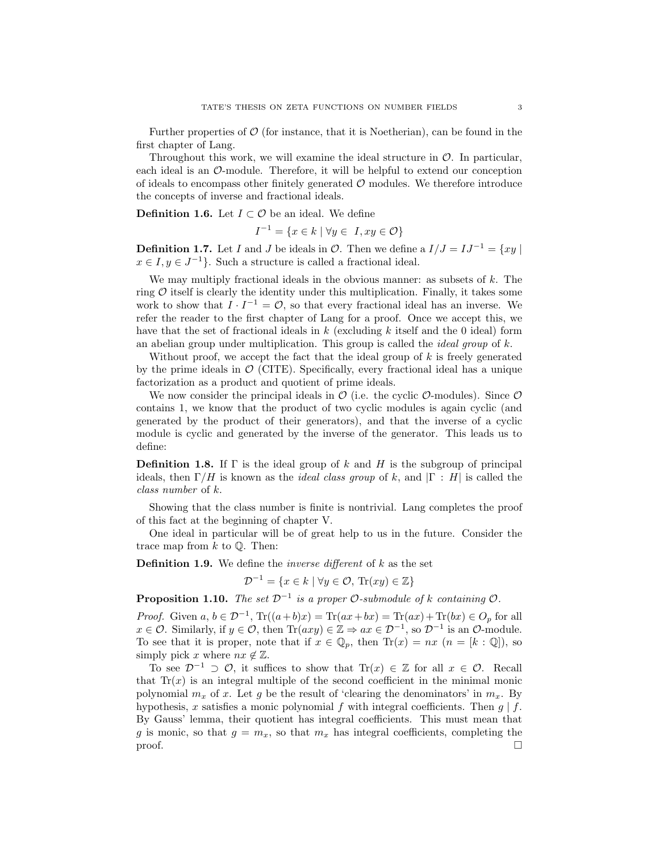Further properties of  $\mathcal{O}$  (for instance, that it is Noetherian), can be found in the first chapter of Lang.

Throughout this work, we will examine the ideal structure in  $\mathcal{O}$ . In particular, each ideal is an O-module. Therefore, it will be helpful to extend our conception of ideals to encompass other finitely generated  $\mathcal O$  modules. We therefore introduce the concepts of inverse and fractional ideals.

**Definition 1.6.** Let  $I \subset \mathcal{O}$  be an ideal. We define

$$
I^{-1} = \{ x \in k \mid \forall y \in I, xy \in \mathcal{O} \}
$$

**Definition 1.7.** Let I and J be ideals in  $\mathcal{O}$ . Then we define a  $I/J = IJ^{-1} = \{xy \mid$  $x \in I, y \in J^{-1}$ . Such a structure is called a fractional ideal.

We may multiply fractional ideals in the obvious manner: as subsets of  $k$ . The ring  $\mathcal O$  itself is clearly the identity under this multiplication. Finally, it takes some work to show that  $I \cdot I^{-1} = \mathcal{O}$ , so that every fractional ideal has an inverse. We refer the reader to the first chapter of Lang for a proof. Once we accept this, we have that the set of fractional ideals in  $k$  (excluding  $k$  itself and the 0 ideal) form an abelian group under multiplication. This group is called the *ideal group* of  $k$ .

Without proof, we accept the fact that the ideal group of  $k$  is freely generated by the prime ideals in  $\mathcal{O}$  (CITE). Specifically, every fractional ideal has a unique factorization as a product and quotient of prime ideals.

We now consider the principal ideals in  $\mathcal O$  (i.e. the cyclic  $\mathcal O$ -modules). Since  $\mathcal O$ contains 1, we know that the product of two cyclic modules is again cyclic (and generated by the product of their generators), and that the inverse of a cyclic module is cyclic and generated by the inverse of the generator. This leads us to define:

**Definition 1.8.** If  $\Gamma$  is the ideal group of k and H is the subgroup of principal ideals, then  $\Gamma/H$  is known as the *ideal class group* of k, and  $|\Gamma : H|$  is called the class number of k.

Showing that the class number is finite is nontrivial. Lang completes the proof of this fact at the beginning of chapter V.

One ideal in particular will be of great help to us in the future. Consider the trace map from  $k$  to  $\mathbb{O}$ . Then:

**Definition 1.9.** We define the *inverse different* of  $k$  as the set

$$
\mathcal{D}^{-1} = \{ x \in k \mid \forall y \in \mathcal{O}, \, \text{Tr}(xy) \in \mathbb{Z} \}
$$

**Proposition 1.10.** The set  $\mathcal{D}^{-1}$  is a proper  $\mathcal{O}$ -submodule of k containing  $\mathcal{O}$ .

*Proof.* Given  $a, b \in \mathcal{D}^{-1}$ ,  $\text{Tr}((a+b)x) = \text{Tr}(ax+bx) = \text{Tr}(ax) + \text{Tr}(bx) \in O_p$  for all  $x \in \mathcal{O}$ . Similarly, if  $y \in \mathcal{O}$ , then  $\text{Tr}(axy) \in \mathbb{Z} \Rightarrow ax \in \mathcal{D}^{-1}$ , so  $\mathcal{D}^{-1}$  is an  $\mathcal{O}$ -module. To see that it is proper, note that if  $x \in \mathbb{Q}_p$ , then  $\text{Tr}(x) = nx$   $(n = [k : \mathbb{Q}])$ , so simply pick x where  $nx \notin \mathbb{Z}$ .

To see  $\mathcal{D}^{-1} \supset \mathcal{O}$ , it suffices to show that  $\text{Tr}(x) \in \mathbb{Z}$  for all  $x \in \mathcal{O}$ . Recall that  $Tr(x)$  is an integral multiple of the second coefficient in the minimal monic polynomial  $m_x$  of x. Let g be the result of 'clearing the denominators' in  $m_x$ . By hypothesis, x satisfies a monic polynomial f with integral coefficients. Then  $q \mid f$ . By Gauss' lemma, their quotient has integral coefficients. This must mean that g is monic, so that  $g = m_x$ , so that  $m_x$  has integral coefficients, completing the  $\Box$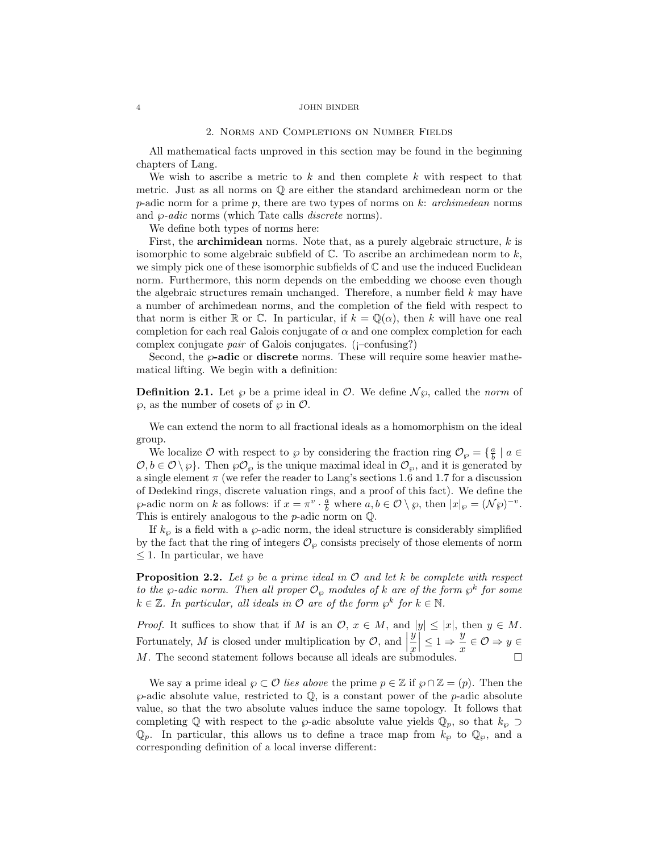#### 2. Norms and Completions on Number Fields

All mathematical facts unproved in this section may be found in the beginning chapters of Lang.

We wish to ascribe a metric to  $k$  and then complete  $k$  with respect to that metric. Just as all norms on Q are either the standard archimedean norm or the p-adic norm for a prime p, there are two types of norms on  $k$ : archimedean norms and  $\varphi$ -*adic* norms (which Tate calls *discrete* norms).

We define both types of norms here:

First, the **archimidean** norms. Note that, as a purely algebraic structure,  $k$  is isomorphic to some algebraic subfield of  $\mathbb C$ . To ascribe an archimedean norm to  $k,$ we simply pick one of these isomorphic subfields of  $\mathbb C$  and use the induced Euclidean norm. Furthermore, this norm depends on the embedding we choose even though the algebraic structures remain unchanged. Therefore, a number field k may have a number of archimedean norms, and the completion of the field with respect to that norm is either R or C. In particular, if  $k = \mathbb{Q}(\alpha)$ , then k will have one real completion for each real Galois conjugate of  $\alpha$  and one complex completion for each complex conjugate pair of Galois conjugates. (¡–confusing?)

Second, the  $\varphi$ -adic or discrete norms. These will require some heavier mathematical lifting. We begin with a definition:

**Definition 2.1.** Let  $\wp$  be a prime ideal in  $\mathcal{O}$ . We define  $\mathcal{N}\wp$ , called the norm of  $\wp$ , as the number of cosets of  $\wp$  in  $\mathcal{O}$ .

We can extend the norm to all fractional ideals as a homomorphism on the ideal group.

We localize  $\mathcal O$  with respect to  $\wp$  by considering the fraction ring  $\mathcal O_{\wp} = \{\frac{a}{b} \mid a \in$  $\mathcal{O}, b \in \mathcal{O}\setminus\wp$ . Then  $\wp\mathcal{O}_{\wp}$  is the unique maximal ideal in  $\mathcal{O}_{\wp}$ , and it is generated by a single element  $\pi$  (we refer the reader to Lang's sections 1.6 and 1.7 for a discussion of Dedekind rings, discrete valuation rings, and a proof of this fact). We define the  $\wp$ -adic norm on k as follows: if  $x = \pi^v \cdot \frac{a}{b}$  where  $a, b \in \mathcal{O} \setminus \wp$ , then  $|x|_{\wp} = (\mathcal{N}\wp)^{-v}$ . This is entirely analogous to the  $p\text{-}\mathrm{adic}$  norm on  $\mathbb{Q}.$ 

If  $k_{\varphi}$  is a field with a  $\varphi$ -adic norm, the ideal structure is considerably simplified by the fact that the ring of integers  $\mathcal{O}_{\wp}$  consists precisely of those elements of norm  $\leq 1$ . In particular, we have

**Proposition 2.2.** Let  $\wp$  be a prime ideal in  $\mathcal O$  and let k be complete with respect to the  $\wp$ -adic norm. Then all proper  $\mathcal{O}_{\wp}$  modules of k are of the form  $\wp^k$  for some  $k \in \mathbb{Z}$ . In particular, all ideals in  $\mathcal{O}$  are of the form  $\wp^k$  for  $k \in \mathbb{N}$ .

*Proof.* It suffices to show that if M is an  $\mathcal{O}, x \in M$ , and  $|y| \leq |x|$ , then  $y \in M$ . Fortunately,  $M$  is closed under multiplication by  $\mathcal{O}$ , and  $\left| \begin{array}{c} \begin{array}{c} \end{array} \right|$  $\hat{y}$  $\ddot{x}$  $\leq 1 \Rightarrow \frac{y}{x}$  $\frac{y}{x} \in \mathcal{O} \Rightarrow y \in$ M. The second statement follows because all ideals are submodules.  $\Box$ 

We say a prime ideal  $\wp \subset \mathcal{O}$  lies above the prime  $p \in \mathbb{Z}$  if  $\wp \cap \mathbb{Z} = (p)$ . Then the  $\wp$ -adic absolute value, restricted to  $\mathbb Q$ , is a constant power of the *p*-adic absolute value, so that the two absolute values induce the same topology. It follows that completing Q with respect to the  $\wp$ -adic absolute value yields  $\mathbb{Q}_p$ , so that  $k_{\wp} \supset$  $\mathbb{Q}_p$ . In particular, this allows us to define a trace map from  $k_{\wp}$  to  $\mathbb{Q}_p$ , and a corresponding definition of a local inverse different: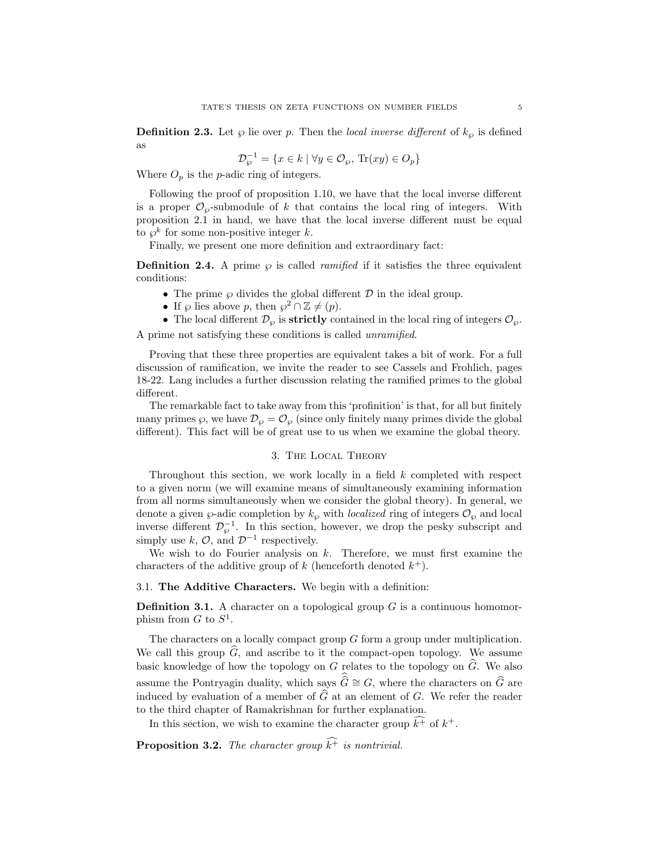**Definition 2.3.** Let  $\wp$  lie over p. Then the local inverse different of  $k_{\wp}$  is defined as

$$
\mathcal{D}_{\wp}^{-1} = \{ x \in k \mid \forall y \in \mathcal{O}_{\wp}, \, \text{Tr}(xy) \in O_p \}
$$

Where  $O_p$  is the *p*-adic ring of integers.

Following the proof of proposition 1.10, we have that the local inverse different is a proper  $\mathcal{O}_{\varphi}$ -submodule of k that contains the local ring of integers. With proposition 2.1 in hand, we have that the local inverse different must be equal to  $\wp^k$  for some non-positive integer k.

Finally, we present one more definition and extraordinary fact:

**Definition 2.4.** A prime  $\wp$  is called *ramified* if it satisfies the three equivalent conditions:

- The prime  $\wp$  divides the global different  $\mathcal D$  in the ideal group.
- If  $\wp$  lies above p, then  $\wp^2 \cap \mathbb{Z} \neq (p)$ .
- The local different  $\mathcal{D}_{\varphi}$  is **strictly** contained in the local ring of integers  $\mathcal{O}_{\varphi}$ .

A prime not satisfying these conditions is called unramified.

Proving that these three properties are equivalent takes a bit of work. For a full discussion of ramification, we invite the reader to see Cassels and Frohlich, pages 18-22. Lang includes a further discussion relating the ramified primes to the global different.

The remarkable fact to take away from this 'profinition' is that, for all but finitely many primes  $\wp$ , we have  $\mathcal{D}_{\wp} = \mathcal{O}_{\wp}$  (since only finitely many primes divide the global different). This fact will be of great use to us when we examine the global theory.

# 3. The Local Theory

Throughout this section, we work locally in a field  $k$  completed with respect to a given norm (we will examine means of simultaneously examining information from all norms simultaneously when we consider the global theory). In general, we denote a given  $\wp$ -adic completion by  $k_{\wp}$  with *localized* ring of integers  $\mathcal{O}_{\wp}$  and local inverse different  $\mathcal{D}_{\varphi}^{-1}$ . In this section, however, we drop the pesky subscript and simply use  $k, \mathcal{O}$ , and  $\mathcal{D}^{-1}$  respectively.

We wish to do Fourier analysis on  $k$ . Therefore, we must first examine the characters of the additive group of k (henceforth denoted  $k^+$ ).

### 3.1. The Additive Characters. We begin with a definition:

**Definition 3.1.** A character on a topological group  $G$  is a continuous homomorphism from  $G$  to  $S^1$ .

The characters on a locally compact group  $G$  form a group under multiplication. We call this group  $G$ , and ascribe to it the compact-open topology. We assume basic knowledge of how the topology on G relates to the topology on  $\widehat{G}$ . We also assume the Pontryagin duality, which says  $\hat{G} \cong G$ , where the characters on  $\hat{G}$  are induced by evaluation of a member of  $\widehat{G}$  at an element of G. We refer the reader to the third chapter of Ramakrishnan for further explanation.

In this section, we wish to examine the character group  $\hat{k}^{\dagger}$  of  $k^{\dagger}$ .

**Proposition 3.2.** The character group  $\widehat{k^+}$  is nontrivial.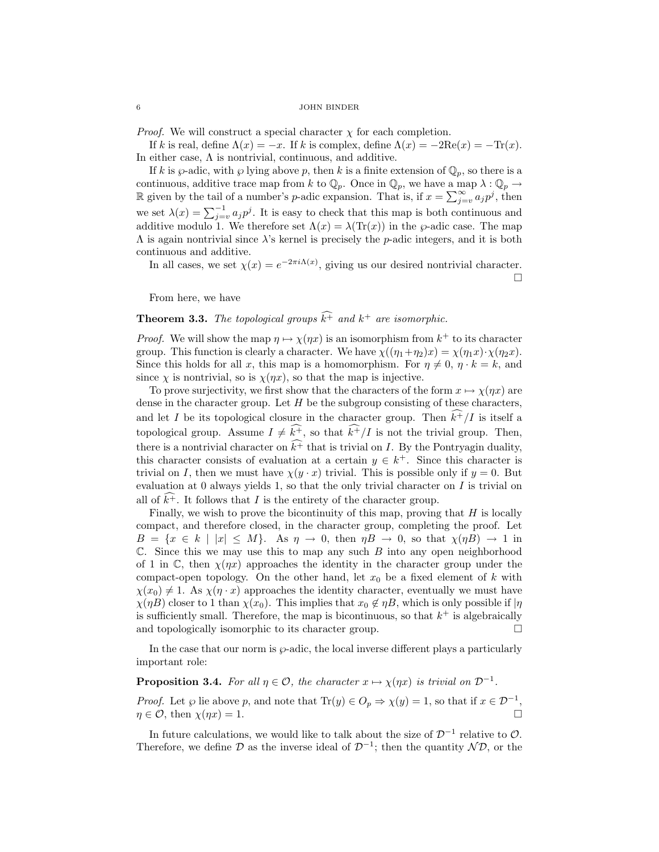*Proof.* We will construct a special character  $\chi$  for each completion.

If k is real, define  $\Lambda(x) = -x$ . If k is complex, define  $\Lambda(x) = -2\text{Re}(x) = -\text{Tr}(x)$ . In either case,  $\Lambda$  is nontrivial, continuous, and additive.

If k is  $\wp$ -adic, with  $\wp$  lying above p, then k is a finite extension of  $\mathbb{Q}_p$ , so there is a continuous, additive trace map from k to  $\mathbb{Q}_p$ . Once in  $\mathbb{Q}_p$ , we have a map  $\lambda : \mathbb{Q}_p \to$ R given by the tail of a number's p-adic expansion. That is, if  $x = \sum_{j=v}^{\infty} a_j p^j$ , then we set  $\lambda(x) = \sum_{j=v}^{-1} a_j p^j$ . It is easy to check that this map is both continuous and additive modulo 1. We therefore set  $\Lambda(x) = \lambda(\text{Tr}(x))$  in the  $\varphi$ -adic case. The map  $\Lambda$  is again nontrivial since  $\lambda$ 's kernel is precisely the p-adic integers, and it is both continuous and additive.

In all cases, we set  $\chi(x) = e^{-2\pi i \Lambda(x)}$ , giving us our desired nontrivial character.  $\Box$ 

From here, we have

# **Theorem 3.3.** The topological groups  $\hat{k}^{\dagger}$  and  $k^{\dagger}$  are isomorphic.

*Proof.* We will show the map  $\eta \mapsto \chi(\eta x)$  is an isomorphism from  $k^+$  to its character group. This function is clearly a character. We have  $\chi((\eta_1+\eta_2)x) = \chi(\eta_1x) \cdot \chi(\eta_2x)$ . Since this holds for all x, this map is a homomorphism. For  $\eta \neq 0, \eta \cdot k = k$ , and since  $\chi$  is nontrivial, so is  $\chi(\eta x)$ , so that the map is injective.

To prove surjectivity, we first show that the characters of the form  $x \mapsto \chi(\eta x)$  are dense in the character group. Let  $H$  be the subgroup consisting of these characters, and let I be its topological closure in the character group. Then  $\widehat{k+}/I$  is itself a topological group. Assume  $I \neq \widehat{k^+}$ , so that  $\widehat{k^+}/I$  is not the trivial group. Then, there is a nontrivial character on  $\widehat{k^+}$  that is trivial on I. By the Pontryagin duality, this character consists of evaluation at a certain  $y \in k^+$ . Since this character is trivial on I, then we must have  $\chi(y \cdot x)$  trivial. This is possible only if  $y = 0$ . But evaluation at 0 always yields 1, so that the only trivial character on  $I$  is trivial on all of  $k^+$ . It follows that I is the entirety of the character group.

Finally, we wish to prove the bicontinuity of this map, proving that  $H$  is locally compact, and therefore closed, in the character group, completing the proof. Let  $B = \{x \in k \mid |x| \leq M\}$ . As  $\eta \to 0$ , then  $\eta B \to 0$ , so that  $\chi(\eta B) \to 1$  in  $\mathbb C$ . Since this we may use this to map any such B into any open neighborhood of 1 in C, then  $\chi(\eta x)$  approaches the identity in the character group under the compact-open topology. On the other hand, let  $x_0$  be a fixed element of k with  $\chi(x_0) \neq 1$ . As  $\chi(\eta \cdot x)$  approaches the identity character, eventually we must have  $\chi(\eta B)$  closer to 1 than  $\chi(x_0)$ . This implies that  $x_0 \notin \eta B$ , which is only possible if  $|\eta|$ is sufficiently small. Therefore, the map is bicontinuous, so that  $k^+$  is algebraically and topologically isomorphic to its character group.  $\Box$ 

In the case that our norm is  $\wp$ -adic, the local inverse different plays a particularly important role:

# **Proposition 3.4.** For all  $\eta \in \mathcal{O}$ , the character  $x \mapsto \chi(\eta x)$  is trivial on  $\mathcal{D}^{-1}$ .

*Proof.* Let  $\wp$  lie above p, and note that  $\text{Tr}(y) \in O_p \Rightarrow \chi(y) = 1$ , so that if  $x \in \mathcal{D}^{-1}$ ,  $\eta \in \mathcal{O}$ , then  $\chi(\eta x) = 1$ .

In future calculations, we would like to talk about the size of  $\mathcal{D}^{-1}$  relative to  $\mathcal{O}$ . Therefore, we define  $\mathcal D$  as the inverse ideal of  $\mathcal D^{-1}$ ; then the quantity  $\mathcal N\mathcal D$ , or the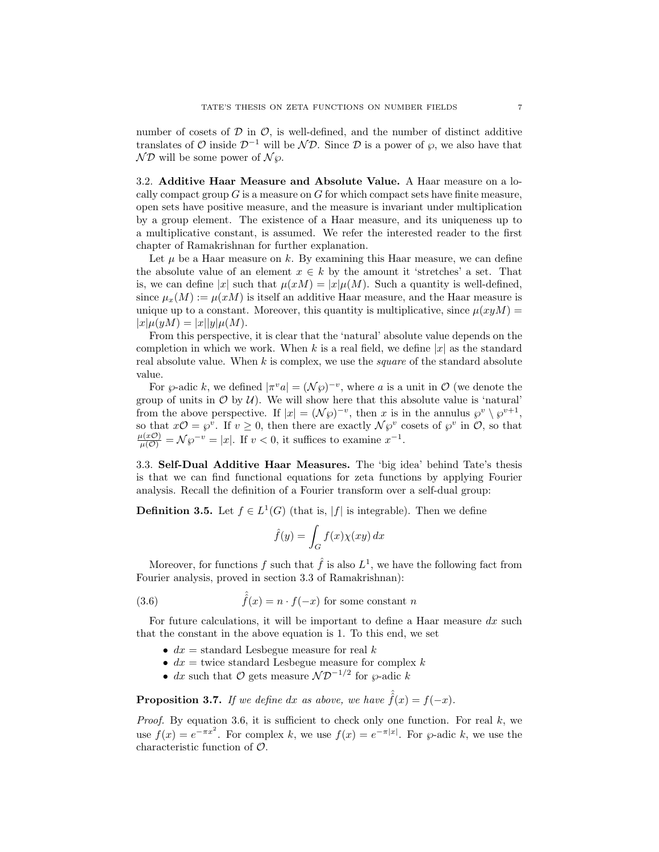number of cosets of  $\mathcal D$  in  $\mathcal O$ , is well-defined, and the number of distinct additive translates of  $\mathcal O$  inside  $\mathcal D^{-1}$  will be  $\mathcal N\mathcal D$ . Since  $\mathcal D$  is a power of  $\varphi$ , we also have that  $ND$  will be some power of  $N_{\varnothing}$ .

3.2. Additive Haar Measure and Absolute Value. A Haar measure on a locally compact group  $G$  is a measure on  $G$  for which compact sets have finite measure, open sets have positive measure, and the measure is invariant under multiplication by a group element. The existence of a Haar measure, and its uniqueness up to a multiplicative constant, is assumed. We refer the interested reader to the first chapter of Ramakrishnan for further explanation.

Let  $\mu$  be a Haar measure on k. By examining this Haar measure, we can define the absolute value of an element  $x \in k$  by the amount it 'stretches' a set. That is, we can define |x| such that  $\mu(xM) = |x|\mu(M)$ . Such a quantity is well-defined, since  $\mu_x(M) := \mu(x)$  is itself an additive Haar measure, and the Haar measure is unique up to a constant. Moreover, this quantity is multiplicative, since  $\mu(xyM)$  =  $|x|\mu(yM) = |x||y|\mu(M).$ 

From this perspective, it is clear that the 'natural' absolute value depends on the completion in which we work. When k is a real field, we define  $|x|$  as the standard real absolute value. When  $k$  is complex, we use the *square* of the standard absolute value.

For  $\wp$ -adic k, we defined  $|\pi^v a| = (\mathcal{N}\wp)^{-v}$ , where a is a unit in  $\mathcal{O}$  (we denote the group of units in  $\mathcal O$  by  $\mathcal U$ . We will show here that this absolute value is 'natural' from the above perspective. If  $|x| = (\mathcal{N}\wp)^{-v}$ , then x is in the annulus  $\wp^v \setminus \wp^{v+1}$ , so that  $x\mathcal{O} = \varphi^v$ . If  $v \geq 0$ , then there are exactly  $\mathcal{N}\varphi^v$  cosets of  $\varphi^v$  in  $\mathcal{O}$ , so that  $\frac{\mu(x\mathcal{O})}{\mu(\mathcal{O})} = \mathcal{N}\wp^{-v} = |x|.$  If  $v < 0$ , it suffices to examine  $x^{-1}$ .

3.3. Self-Dual Additive Haar Measures. The 'big idea' behind Tate's thesis is that we can find functional equations for zeta functions by applying Fourier analysis. Recall the definition of a Fourier transform over a self-dual group:

**Definition 3.5.** Let  $f \in L^1(G)$  (that is, |f| is integrable). Then we define

$$
\hat{f}(y) = \int_G f(x)\chi(xy) \, dx
$$

Moreover, for functions f such that  $\hat{f}$  is also  $L^1$ , we have the following fact from Fourier analysis, proved in section 3.3 of Ramakrishnan):

(3.6) 
$$
\hat{f}(x) = n \cdot f(-x) \text{ for some constant } n
$$

For future calculations, it will be important to define a Haar measure  $dx$  such that the constant in the above equation is 1. To this end, we set

- $dx =$  standard Lesbegue measure for real k
- $dx =$  twice standard Lesbegue measure for complex k
- dx such that O gets measure  $\mathcal{ND}^{-1/2}$  for  $\wp$ -adic k

**Proposition 3.7.** If we define dx as above, we have  $\hat{f}(x) = f(-x)$ .

*Proof.* By equation 3.6, it is sufficient to check only one function. For real  $k$ , we use  $f(x) = e^{-\pi x^2}$ . For complex k, we use  $f(x) = e^{-\pi |x|}$ . For  $\wp$ -adic k, we use the characteristic function of O.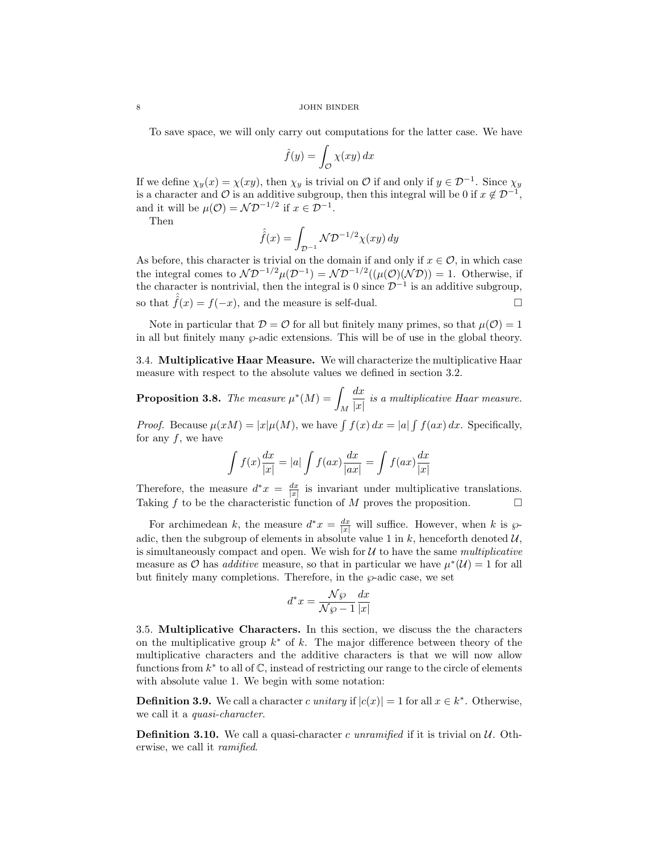To save space, we will only carry out computations for the latter case. We have

$$
\hat{f}(y) = \int_{\mathcal{O}} \chi(xy) \, dx
$$

If we define  $\chi_y(x) = \chi(xy)$ , then  $\chi_y$  is trivial on  $\mathcal O$  if and only if  $y \in \mathcal D^{-1}$ . Since  $\chi_y$ is a character and  $\mathcal O$  is an additive subgroup, then this integral will be 0 if  $x \notin \mathcal D^{-1}$ , and it will be  $\mu(\mathcal{O}) = \mathcal{N} \mathcal{D}^{-1/2}$  if  $x \in \mathcal{D}^{-1}$ .

Then

$$
\hat{f}(x) = \int_{\mathcal{D}^{-1}} \mathcal{N} \mathcal{D}^{-1/2} \chi(xy) \, dy
$$

As before, this character is trivial on the domain if and only if  $x \in \mathcal{O}$ , in which case the integral comes to  $\mathcal{ND}^{-1/2}\mu(\mathcal{D}^{-1}) = \mathcal{ND}^{-1/2}((\mu(\mathcal{O})(\mathcal{ND})) = 1$ . Otherwise, if the character is nontrivial, then the integral is 0 since  $\mathcal{D}^{-1}$  is an additive subgroup, so that  $\hat{f}(x) = f(-x)$ , and the measure is self-dual.

Note in particular that  $\mathcal{D} = \mathcal{O}$  for all but finitely many primes, so that  $\mu(\mathcal{O}) = 1$ in all but finitely many  $\wp$ -adic extensions. This will be of use in the global theory.

3.4. Multiplicative Haar Measure. We will characterize the multiplicative Haar measure with respect to the absolute values we defined in section 3.2.

**Proposition 3.8.** The measure  $\mu^*(M) = \mu^*$ M  $dx$  $\frac{dx}{|x|}$  is a multiplicative Haar measure.

*Proof.* Because  $\mu(xM) = |x|\mu(M)$ , we have  $\int f(x) dx = |a| \int f(ax) dx$ . Specifically, for any  $f$ , we have

$$
\int f(x)\frac{dx}{|x|} = |a| \int f(ax)\frac{dx}{|ax|} = \int f(ax)\frac{dx}{|x|}
$$

Therefore, the measure  $d^*x = \frac{dx}{|x|}$  is invariant under multiplicative translations. Taking  $f$  to be the characteristic function of  $M$  proves the proposition.  $\Box$ 

For archimedean k, the measure  $d^*x = \frac{dx}{|x|}$  will suffice. However, when k is  $\wp$ adic, then the subgroup of elements in absolute value 1 in  $k$ , henceforth denoted  $\mathcal{U}$ , is simultaneously compact and open. We wish for  $U$  to have the same multiplicative measure as O has *additive* measure, so that in particular we have  $\mu^*(\mathcal{U}) = 1$  for all but finitely many completions. Therefore, in the  $\wp$ -adic case, we set

$$
d^*x = \frac{\mathcal{N}\wp}{\mathcal{N}\wp - 1} \frac{dx}{|x|}
$$

3.5. Multiplicative Characters. In this section, we discuss the the characters on the multiplicative group  $k^*$  of k. The major difference between theory of the multiplicative characters and the additive characters is that we will now allow functions from  $k^*$  to all of  $\mathbb{C}$ , instead of restricting our range to the circle of elements with absolute value 1. We begin with some notation:

**Definition 3.9.** We call a character c unitary if  $|c(x)| = 1$  for all  $x \in k^*$ . Otherwise, we call it a quasi-character.

**Definition 3.10.** We call a quasi-character c unramified if it is trivial on  $U$ . Otherwise, we call it ramified.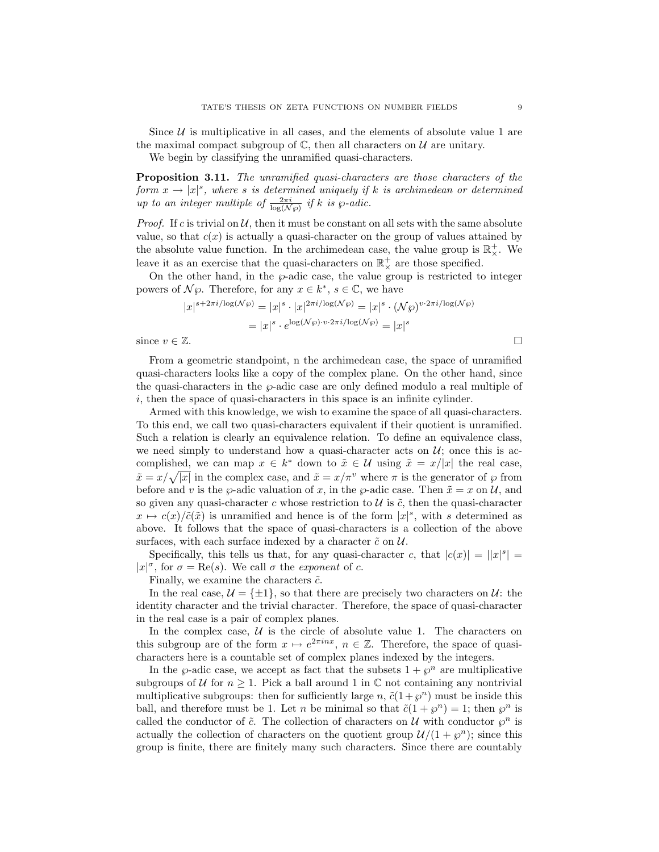Since  $U$  is multiplicative in all cases, and the elements of absolute value 1 are the maximal compact subgroup of  $\mathbb{C}$ , then all characters on  $\mathcal{U}$  are unitary.

We begin by classifying the unramified quasi-characters.

Proposition 3.11. The unramified quasi-characters are those characters of the form  $x \to |x|^s$ , where s is determined uniquely if k is archimedean or determined up to an integer multiple of  $\frac{2\pi i}{\log(N\wp)}$  if k is  $\wp$ -adic.

*Proof.* If c is trivial on  $U$ , then it must be constant on all sets with the same absolute value, so that  $c(x)$  is actually a quasi-character on the group of values attained by the absolute value function. In the archimedean case, the value group is  $\mathbb{R}^+_{\times}$ . We leave it as an exercise that the quasi-characters on  $\mathbb{R}^+_{\times}$  are those specified.

On the other hand, in the  $\wp$ -adic case, the value group is restricted to integer powers of  $\mathcal{N}\wp$ . Therefore, for any  $x \in k^*$ ,  $s \in \mathbb{C}$ , we have

$$
|x|^{s+2\pi i/\log(\mathcal{N}\wp)} = |x|^s \cdot |x|^{2\pi i/\log(\mathcal{N}\wp)} = |x|^s \cdot (\mathcal{N}\wp)^{v \cdot 2\pi i/\log(\mathcal{N}\wp)}
$$

$$
= |x|^s \cdot e^{\log(\mathcal{N}\wp) \cdot v \cdot 2\pi i/\log(\mathcal{N}\wp)} = |x|^s
$$
  
since  $v \in \mathbb{Z}$ .

From a geometric standpoint, n the archimedean case, the space of unramified quasi-characters looks like a copy of the complex plane. On the other hand, since the quasi-characters in the  $\varphi$ -adic case are only defined modulo a real multiple of i, then the space of quasi-characters in this space is an infinite cylinder.

Armed with this knowledge, we wish to examine the space of all quasi-characters. To this end, we call two quasi-characters equivalent if their quotient is unramified. Such a relation is clearly an equivalence relation. To define an equivalence class, we need simply to understand how a quasi-character acts on  $\mathcal{U}$ ; once this is accomplished, we can map  $x \in k^*$  down to  $\tilde{x} \in \mathcal{U}$  using  $\tilde{x} = x/|x|$  the real case,  $\tilde{x} = x/\sqrt{|x|}$  in the complex case, and  $\tilde{x} = x/\pi^v$  where  $\pi$  is the generator of  $\wp$  from before and v is the  $\varphi$ -adic valuation of x, in the  $\varphi$ -adic case. Then  $\tilde{x} = x$  on U, and so given any quasi-character c whose restriction to  $U$  is  $\tilde{c}$ , then the quasi-character  $x \mapsto c(x)/\tilde{c}(\tilde{x})$  is unramified and hence is of the form  $|x|^s$ , with s determined as above. It follows that the space of quasi-characters is a collection of the above surfaces, with each surface indexed by a character  $\tilde{c}$  on  $\mathcal{U}$ .

Specifically, this tells us that, for any quasi-character c, that  $|c(x)| = ||x|^s| =$  $|x|^{\sigma}$ , for  $\sigma = \text{Re}(s)$ . We call  $\sigma$  the exponent of c.

Finally, we examine the characters  $\tilde{c}$ .

In the real case,  $\mathcal{U} = {\pm 1}$ , so that there are precisely two characters on  $\mathcal{U}$ : the identity character and the trivial character. Therefore, the space of quasi-character in the real case is a pair of complex planes.

In the complex case,  $U$  is the circle of absolute value 1. The characters on this subgroup are of the form  $x \mapsto e^{2\pi i n x}$ ,  $n \in \mathbb{Z}$ . Therefore, the space of quasicharacters here is a countable set of complex planes indexed by the integers.

In the  $\wp$ -adic case, we accept as fact that the subsets  $1 + \wp^n$  are multiplicative subgroups of U for  $n \geq 1$ . Pick a ball around 1 in C not containing any nontrivial multiplicative subgroups: then for sufficiently large n,  $\tilde{c}(1+\varphi^n)$  must be inside this ball, and therefore must be 1. Let *n* be minimal so that  $\tilde{c}(1 + \varphi^n) = 1$ ; then  $\varphi^n$  is called the conductor of  $\tilde{c}$ . The collection of characters on U with conductor  $\varphi^n$  is actually the collection of characters on the quotient group  $\mathcal{U}/(1+\varphi^n)$ ; since this group is finite, there are finitely many such characters. Since there are countably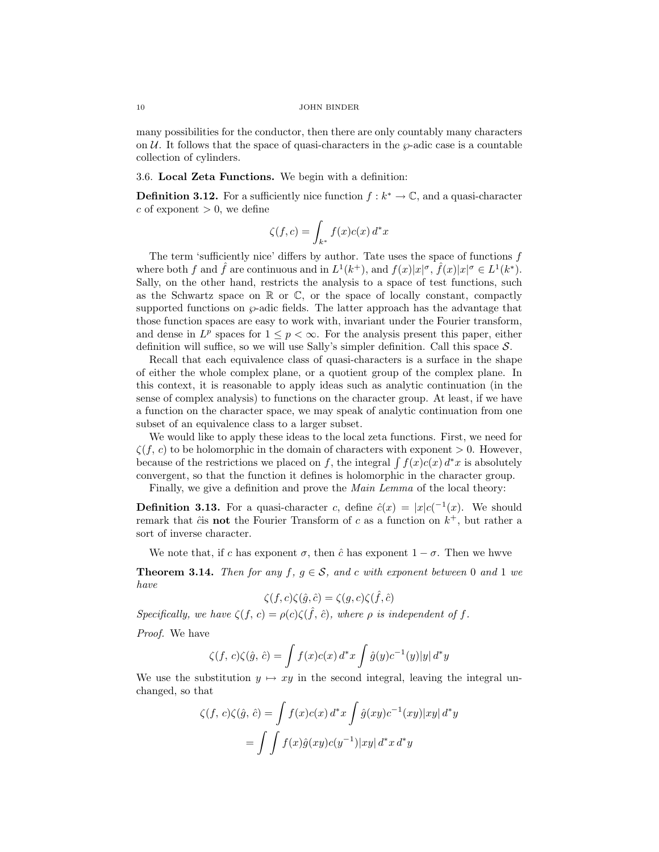many possibilities for the conductor, then there are only countably many characters on  $\mathcal{U}$ . It follows that the space of quasi-characters in the  $\varphi$ -adic case is a countable collection of cylinders.

# 3.6. Local Zeta Functions. We begin with a definition:

**Definition 3.12.** For a sufficiently nice function  $f : k^* \to \mathbb{C}$ , and a quasi-character c of exponent  $> 0$ , we define

$$
\zeta(f,c) = \int_{k^*} f(x)c(x) d^*x
$$

The term 'sufficiently nice' differs by author. Tate uses the space of functions f where both f and  $\hat{f}$  are continuous and in  $L^1(k^+)$ , and  $f(x)|x|^{\sigma}$ ,  $\hat{f}(x)|x|^{\sigma} \in L^1(k^*)$ . Sally, on the other hand, restricts the analysis to a space of test functions, such as the Schwartz space on  $\mathbb R$  or  $\mathbb C$ , or the space of locally constant, compactly supported functions on  $\wp$ -adic fields. The latter approach has the advantage that those function spaces are easy to work with, invariant under the Fourier transform, and dense in  $L^p$  spaces for  $1 \leq p < \infty$ . For the analysis present this paper, either definition will suffice, so we will use Sally's simpler definition. Call this space  $S$ .

Recall that each equivalence class of quasi-characters is a surface in the shape of either the whole complex plane, or a quotient group of the complex plane. In this context, it is reasonable to apply ideas such as analytic continuation (in the sense of complex analysis) to functions on the character group. At least, if we have a function on the character space, we may speak of analytic continuation from one subset of an equivalence class to a larger subset.

We would like to apply these ideas to the local zeta functions. First, we need for  $\zeta(f, c)$  to be holomorphic in the domain of characters with exponent  $> 0$ . However, because of the restrictions we placed on f, the integral  $\int f(x)c(x) dx$  is absolutely convergent, so that the function it defines is holomorphic in the character group.

Finally, we give a definition and prove the *Main Lemma* of the local theory:

**Definition 3.13.** For a quasi-character c, define  $\hat{c}(x) = |x| c^{(-1)}(x)$ . We should remark that  $\hat{c}$  is not the Fourier Transform of c as a function on  $k^+$ , but rather a sort of inverse character.

We note that, if c has exponent  $\sigma$ , then  $\hat{c}$  has exponent  $1 - \sigma$ . Then we hwve

**Theorem 3.14.** Then for any f,  $g \in \mathcal{S}$ , and c with exponent between 0 and 1 we have

$$
\zeta(f,c)\zeta(\hat{g},\hat{c}) = \zeta(g,c)\zeta(\hat{f},\hat{c})
$$

Specifically, we have  $\zeta(f, c) = \rho(c)\zeta(\hat{f}, \hat{c})$ , where  $\rho$  is independent of f.

Proof. We have

$$
\zeta(f, c)\zeta(\hat{g}, \hat{c}) = \int f(x)c(x) d^*x \int \hat{g}(y)c^{-1}(y)|y| d^*y
$$

We use the substitution  $y \mapsto xy$  in the second integral, leaving the integral unchanged, so that

$$
\zeta(f, c)\zeta(\hat{g}, \hat{c}) = \int f(x)c(x) d^*x \int \hat{g}(xy)c^{-1}(xy)|xy| d^*y
$$

$$
= \int \int f(x)\hat{g}(xy)c(y^{-1})|xy| d^*x d^*y
$$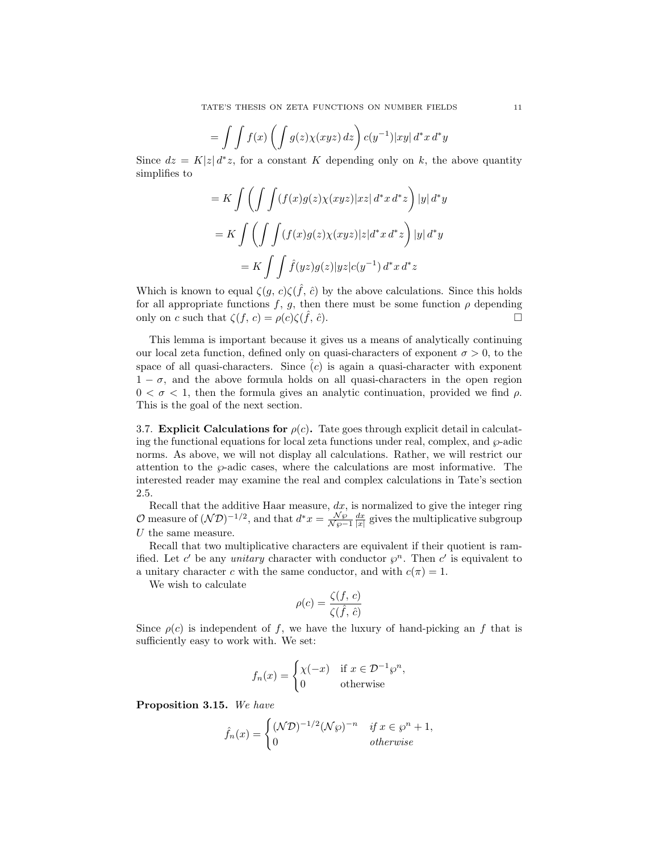$$
= \int \int f(x) \left( \int g(z) \chi(xyz) \, dz \right) c(y^{-1}) |xy| \, d^*x \, d^*y
$$

Since  $dz = K|z| d^*z$ , for a constant K depending only on k, the above quantity simplifies to

$$
= K \int \left( \int \int (f(x)g(z)\chi(xyz)|xz| d^*x d^*z \right) |y| d^*y
$$

$$
= K \int \left( \int \int (f(x)g(z)\chi(xyz)|z|d^*x d^*z \right) |y| d^*y
$$

$$
= K \int \int \hat{f}(yz)g(z)|yz|c(y^{-1}) d^*x d^*z
$$

Which is known to equal  $\zeta(g, c)\zeta(\hat{f}, \hat{c})$  by the above calculations. Since this holds for all appropriate functions f, g, then there must be some function  $\rho$  depending only on c such that  $\zeta(f, c) = \rho(c)\zeta(\hat{f}, \hat{c}).$ 

This lemma is important because it gives us a means of analytically continuing our local zeta function, defined only on quasi-characters of exponent  $\sigma > 0$ , to the space of all quasi-characters. Since  $(c)$  is again a quasi-character with exponent  $1 - \sigma$ , and the above formula holds on all quasi-characters in the open region  $0 < \sigma < 1$ , then the formula gives an analytic continuation, provided we find  $\rho$ . This is the goal of the next section.

3.7. Explicit Calculations for  $\rho(c)$ . Tate goes through explicit detail in calculating the functional equations for local zeta functions under real, complex, and  $\wp$ -adic norms. As above, we will not display all calculations. Rather, we will restrict our attention to the  $\wp$ -adic cases, where the calculations are most informative. The interested reader may examine the real and complex calculations in Tate's section 2.5.

Recall that the additive Haar measure,  $dx$ , is normalized to give the integer ring O measure of  $(\mathcal{N}\mathcal{D})^{-1/2}$ , and that  $d^*x = \frac{\mathcal{N}\wp}{\mathcal{N}\wp-1} \frac{dx}{|x|}$  gives the multiplicative subgroup  $U$  the same measure.

Recall that two multiplicative characters are equivalent if their quotient is ramified. Let c' be any *unitary* character with conductor  $\varphi^n$ . Then c' is equivalent to a unitary character c with the same conductor, and with  $c(\pi) = 1$ .

We wish to calculate

$$
\rho(c) = \frac{\zeta(f, c)}{\zeta(\hat{f}, \hat{c})}
$$

Since  $\rho(c)$  is independent of f, we have the luxury of hand-picking an f that is sufficiently easy to work with. We set:

$$
f_n(x) = \begin{cases} \chi(-x) & \text{if } x \in \mathcal{D}^{-1}\wp^n, \\ 0 & \text{otherwise} \end{cases}
$$

Proposition 3.15. We have

$$
\hat{f}_n(x) = \begin{cases} (\mathcal{N}\mathcal{D})^{-1/2} (\mathcal{N}\wp)^{-n} & \text{if } x \in \wp^n + 1, \\ 0 & \text{otherwise} \end{cases}
$$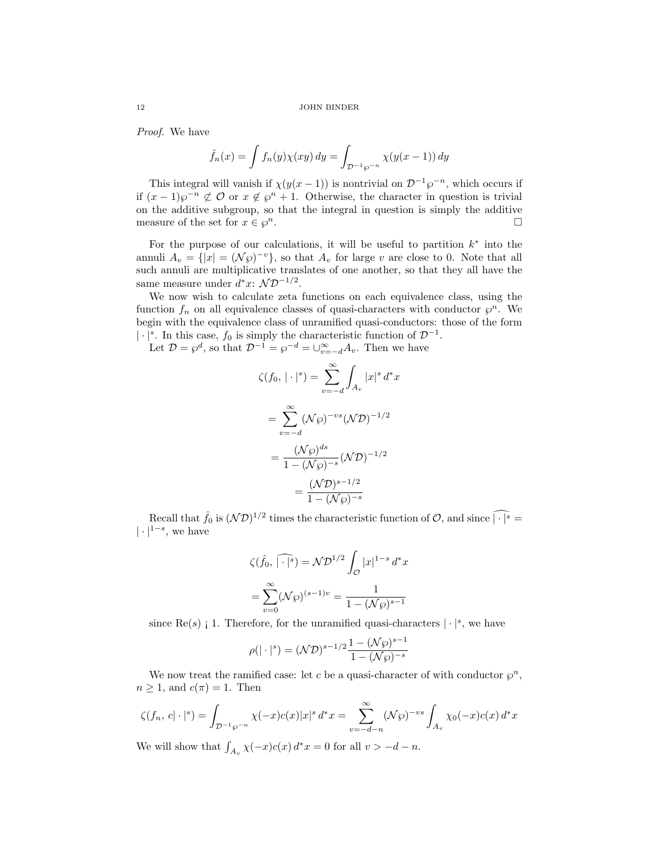Proof. We have

$$
\hat{f}_n(x) = \int f_n(y) \chi(xy) \, dy = \int_{\mathcal{D}^{-1} \wp^{-n}} \chi(y(x-1)) \, dy
$$

This integral will vanish if  $\chi(y(x-1))$  is nontrivial on  $\mathcal{D}^{-1}\wp^{-n}$ , which occurs if if  $(x-1)\wp^{-n}$  ⊄  $\mathcal O$  or  $x \notin \wp^n + 1$ . Otherwise, the character in question is trivial on the additive subgroup, so that the integral in question is simply the additive measure of the set for  $x \in \varphi^n$ .  $\overline{\phantom{a}}$ .

For the purpose of our calculations, it will be useful to partition  $k^*$  into the annuli  $A_v = \{ |x| = (\mathcal{N}\wp)^{-v} \},$  so that  $A_v$  for large v are close to 0. Note that all such annuli are multiplicative translates of one another, so that they all have the same measure under  $d^*x$ :  $\mathcal{ND}^{-1/2}$ .

We now wish to calculate zeta functions on each equivalence class, using the function  $f_n$  on all equivalence classes of quasi-characters with conductor  $\varphi^n$ . We begin with the equivalence class of unramified quasi-conductors: those of the form |⋅|<sup>s</sup>. In this case,  $f_0$  is simply the characteristic function of  $\mathcal{D}^{-1}$ .

Let  $\mathcal{D} = \wp^d$ , so that  $\mathcal{D}^{-1} = \wp^{-d} = \bigcup_{v=-d}^{\infty} A_v$ . Then we have

$$
\zeta(f_0, |\cdot|^s) = \sum_{v=-d}^{\infty} \int_{A_v} |x|^s d^*x
$$

$$
= \sum_{v=-d}^{\infty} (\mathcal{N}\wp)^{-vs} (\mathcal{N}\mathcal{D})^{-1/2}
$$

$$
= \frac{(\mathcal{N}\wp)^{ds}}{1 - (\mathcal{N}\wp)^{-s}} (\mathcal{N}\mathcal{D})^{-1/2}
$$

$$
= \frac{(\mathcal{N}\mathcal{D})^{s-1/2}}{1 - (\mathcal{N}\wp)^{-s}}
$$

Recall that  $\hat{f}_0$  is  $(\mathcal{ND})^{1/2}$  times the characteristic function of  $\mathcal{O}$ , and since  $\widehat{|\cdot|^s}$  $|\cdot|^{1-s}$ , we have

$$
\zeta(\hat{f}_0, \widehat{|\cdot|^s}) = \mathcal{N} \mathcal{D}^{1/2} \int_{\mathcal{O}} |x|^{1-s} d^* x
$$

$$
= \sum_{v=0}^{\infty} (\mathcal{N}\wp)^{(s-1)v} = \frac{1}{1 - (\mathcal{N}\wp)^{s-1}}
$$

since Re(s) i 1. Therefore, for the unramified quasi-characters  $|\cdot|^s$ , we have

$$
\rho(|\cdot|^s) = (\mathcal{N}\mathcal{D})^{s-1/2} \frac{1 - (\mathcal{N}\wp)^{s-1}}{1 - (\mathcal{N}\wp)^{-s}}
$$

We now treat the ramified case: let c be a quasi-character of with conductor  $\varphi^n$ ,  $n \geq 1$ , and  $c(\pi) = 1$ . Then

$$
\zeta(f_n, c| \cdot |^s) = \int_{\mathcal{D}^{-1} \wp^{-n}} \chi(-x) c(x) |x|^s \, d^*x = \sum_{v=-d-n}^{\infty} (\mathcal{N}\wp)^{-vs} \int_{A_v} \chi_0(-x) c(x) \, d^*x
$$

We will show that  $\int_{A_v} \chi(-x)c(x) d^*x = 0$  for all  $v > -d - n$ .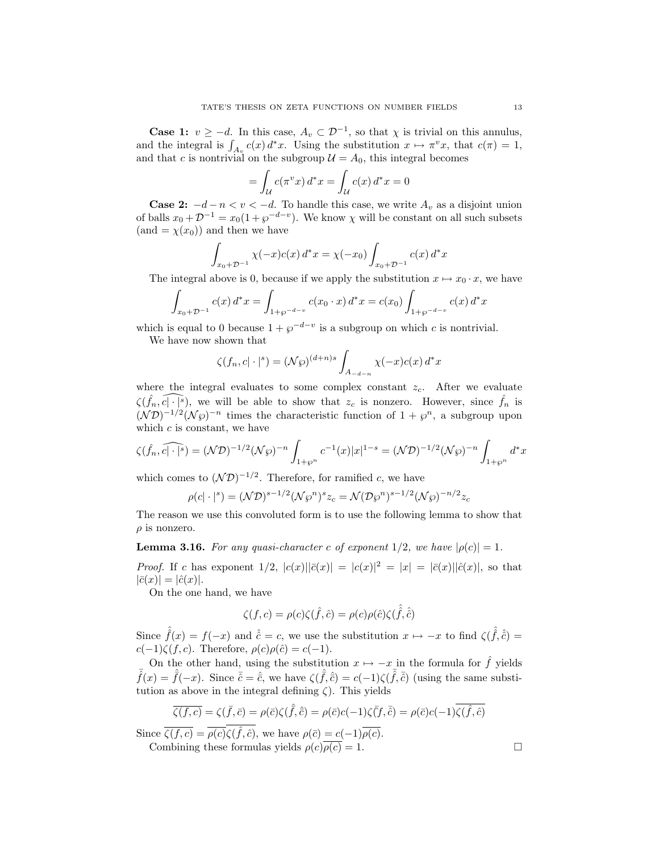**Case 1:**  $v \ge -d$ . In this case,  $A_v \subset \mathcal{D}^{-1}$ , so that  $\chi$  is trivial on this annulus, and the integral is  $\int_{A_v} c(x) d^*x$ . Using the substitution  $x \mapsto \pi^v x$ , that  $c(\pi) = 1$ , and that c is nontrivial on the subgroup  $\mathcal{U} = A_0$ , this integral becomes

$$
= \int_{\mathcal{U}} c(\pi^v x) d^* x = \int_{\mathcal{U}} c(x) d^* x = 0
$$

**Case 2:**  $-d-n < v < -d$ . To handle this case, we write  $A_v$  as a disjoint union of balls  $x_0 + \mathcal{D}^{-1} = x_0(1 + \wp^{-d-v})$ . We know  $\chi$  will be constant on all such subsets  $(and = \chi(x_0))$  and then we have

$$
\int_{x_0+D^{-1}} \chi(-x)c(x) d^*x = \chi(-x_0) \int_{x_0+D^{-1}} c(x) d^*x
$$

The integral above is 0, because if we apply the substitution  $x \mapsto x_0 \cdot x$ , we have

$$
\int_{x_0+D^{-1}} c(x) d^*x = \int_{1+\wp^{-d-v}} c(x_0 \cdot x) d^*x = c(x_0) \int_{1+\wp^{-d-v}} c(x) d^*x
$$

which is equal to 0 because  $1 + \varphi^{-d-v}$  is a subgroup on which c is nontrivial.

We have now shown that

$$
\zeta(f_n, c| \cdot |^s) = (\mathcal{N}\wp)^{(d+n)s} \int_{A_{-d-n}} \chi(-x)c(x) d^*x
$$

where the integral evaluates to some complex constant  $z_c$ . After we evaluate  $\widehat{\zeta(\hat{f}_n,\hat{c}|\cdot|^s)},$  we will be able to show that  $z_c$  is nonzero. However, since  $\hat{f}_n$  is  $(\mathcal{N}\mathcal{D})^{-1/2}(\mathcal{N}\varphi)^{-n}$  times the characteristic function of  $1+\varphi^n$ , a subgroup upon which  $c$  is constant, we have

$$
\widehat{\zeta(\widehat{f}_n, c|\cdot|^s)} = (\mathcal{N}\mathcal{D})^{-1/2} (\mathcal{N}\wp)^{-n} \int_{1+\wp^n} c^{-1}(x) |x|^{1-s} = (\mathcal{N}\mathcal{D})^{-1/2} (\mathcal{N}\wp)^{-n} \int_{1+\wp^n} d^*x
$$

which comes to  $(\mathcal{N}\mathcal{D})^{-1/2}$ . Therefore, for ramified c, we have

$$
\rho(c|\cdot|^s) = (\mathcal{N}\mathcal{D})^{s-1/2}(\mathcal{N}\wp^n)^s z_c = \mathcal{N}(\mathcal{D}\wp^n)^{s-1/2}(\mathcal{N}\wp)^{-n/2} z_c
$$

The reason we use this convoluted form is to use the following lemma to show that  $\rho$  is nonzero.

**Lemma 3.16.** For any quasi-character c of exponent  $1/2$ , we have  $|\rho(c)| = 1$ .

*Proof.* If c has exponent  $1/2$ ,  $|c(x)||\bar{c}(x)| = |c(x)|^2 = |x| = |\bar{c}(x)||\hat{c}(x)|$ , so that  $|\bar{c}(x)| = |\hat{c}(x)|.$ 

On the one hand, we have

$$
\zeta(f,c) = \rho(c)\zeta(\hat{f},\hat{c}) = \rho(c)\rho(\hat{c})\zeta(\hat{f},\hat{\hat{c}})
$$

Since  $\hat{f}(x) = f(-x)$  and  $\hat{c} = c$ , we use the substitution  $x \mapsto -x$  to find  $\zeta(\hat{f}, \hat{c}) =$  $c(-1)\zeta(f,c)$ . Therefore,  $\rho(c)\rho(\hat{c})=c(-1)$ .

On the other hand, using the substitution  $x \mapsto -x$  in the formula for  $\hat{f}$  yields  $\bar{\hat{f}}(x) = \hat{\bar{f}}(-x)$ . Since  $\bar{\hat{c}} = \hat{\hat{c}}$ , we have  $\zeta(\hat{f}, \hat{\hat{c}}) = c(-1)\zeta(\hat{f}, \hat{\hat{c}})$  (using the same substitution as above in the integral defining  $\zeta$ ). This yields

$$
\overline{\zeta(f,c)} = \zeta(\overline{f},\overline{c}) = \rho(\overline{c})\zeta(\widehat{f},\widehat{c}) = \rho(\overline{c})c(-1)\zeta(\overline{f},\overline{c}) = \rho(\overline{c})c(-1)\overline{\zeta(\widehat{f},\widehat{c})}
$$

Since  $\overline{\zeta(f,c)} = \overline{\rho(c)}\zeta(\hat{f},\hat{c})$ , we have  $\rho(\bar{c}) = c(-1)\overline{\rho(c)}$ .

Combining these formulas yields  $\rho(c)\overline{\rho(c)} = 1$ .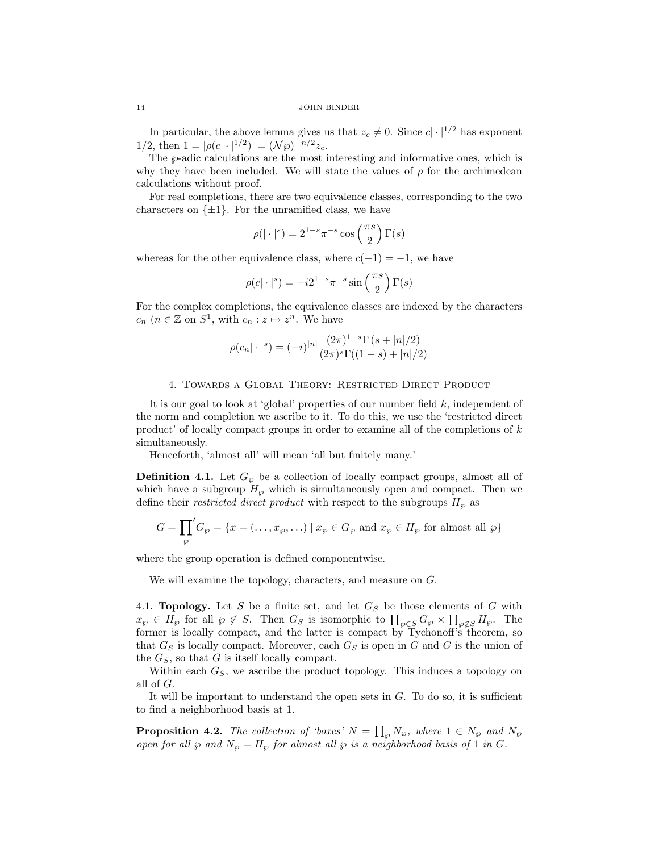In particular, the above lemma gives us that  $z_c \neq 0$ . Since  $c \cdot |1/2|$  has exponent 1/2, then  $1 = |\rho(c| \cdot |^{1/2})| = (\mathcal{N}\wp)^{-n/2} z_c$ .

The  $\varphi$ -adic calculations are the most interesting and informative ones, which is why they have been included. We will state the values of  $\rho$  for the archimedean calculations without proof.

For real completions, there are two equivalence classes, corresponding to the two characters on  $\{\pm 1\}$ . For the unramified class, we have

$$
\rho(|\cdot|^s) = 2^{1-s} \pi^{-s} \cos\left(\frac{\pi s}{2}\right) \Gamma(s)
$$

whereas for the other equivalence class, where  $c(-1) = -1$ , we have

$$
\rho(c|\cdot|^s) = -i2^{1-s}\pi^{-s}\sin\left(\frac{\pi s}{2}\right)\Gamma(s)
$$

For the complex completions, the equivalence classes are indexed by the characters  $c_n$   $(n \in \mathbb{Z}$  on  $S^1$ , with  $c_n : z \mapsto z^n$ . We have

$$
\rho(c_n|\cdot|^s) = (-i)^{|n|} \frac{(2\pi)^{1-s} \Gamma(s+|n|/2)}{(2\pi)^s \Gamma((1-s)+|n|/2)}
$$

### 4. Towards a Global Theory: Restricted Direct Product

It is our goal to look at 'global' properties of our number field  $k$ , independent of the norm and completion we ascribe to it. To do this, we use the 'restricted direct product' of locally compact groups in order to examine all of the completions of  $k$ simultaneously.

Henceforth, 'almost all' will mean 'all but finitely many.'

**Definition 4.1.** Let  $G_{\varphi}$  be a collection of locally compact groups, almost all of which have a subgroup  $H_{\varphi}$  which is simultaneously open and compact. Then we define their *restricted direct product* with respect to the subgroups  $H_{\wp}$  as

$$
G = \prod_{\wp} G_{\wp} = \{ x = (\dots, x_{\wp}, \dots) \mid x_{\wp} \in G_{\wp} \text{ and } x_{\wp} \in H_{\wp} \text{ for almost all } \wp \}
$$

where the group operation is defined componentwise.

We will examine the topology, characters, and measure on G.

4.1. **Topology.** Let S be a finite set, and let  $G<sub>S</sub>$  be those elements of G with  $x_{\wp} \in H_{\wp}$  for all  $\wp \notin S$ . Then  $G_S$  is isomorphic to  $\prod_{\wp \in S} G_{\wp} \times \prod_{\wp \notin S} H_{\wp}$ . The former is locally compact, and the latter is compact by Tychonoff's theorem, so that  $G<sub>S</sub>$  is locally compact. Moreover, each  $G<sub>S</sub>$  is open in G and G is the union of the  $G<sub>S</sub>$ , so that G is itself locally compact.

Within each  $G<sub>S</sub>$ , we ascribe the product topology. This induces a topology on all of G.

It will be important to understand the open sets in  $G$ . To do so, it is sufficient to find a neighborhood basis at 1.

**Proposition 4.2.** The collection of 'boxes'  $N = \prod_{\wp} N_{\wp}$ , where  $1 \in N_{\wp}$  and  $N_{\wp}$ open for all  $\wp$  and  $N_{\wp} = H_{\wp}$  for almost all  $\wp$  is a neighborhood basis of 1 in G.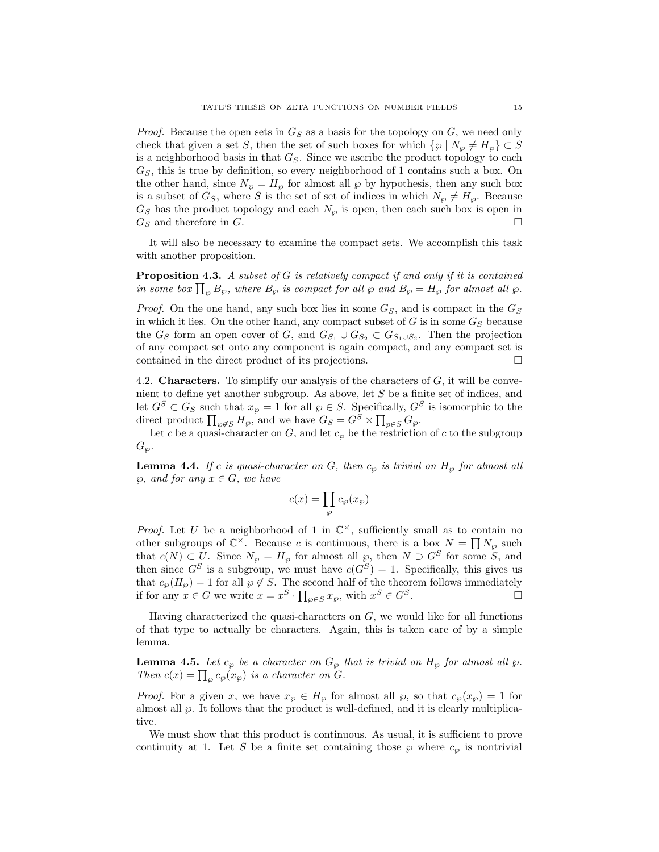*Proof.* Because the open sets in  $G<sub>S</sub>$  as a basis for the topology on G, we need only check that given a set S, then the set of such boxes for which  $\{\wp \mid N_{\wp} \neq H_{\wp}\}\subset S$ is a neighborhood basis in that  $G<sub>S</sub>$ . Since we ascribe the product topology to each  $G<sub>S</sub>$ , this is true by definition, so every neighborhood of 1 contains such a box. On the other hand, since  $N_{\varphi} = H_{\varphi}$  for almost all  $\varphi$  by hypothesis, then any such box is a subset of  $G_S$ , where S is the set of set of indices in which  $N_{\varphi} \neq H_{\varphi}$ . Because  $G<sub>S</sub>$  has the product topology and each  $N<sub>\wp</sub>$  is open, then each such box is open in  $G_S$  and therefore in G.

It will also be necessary to examine the compact sets. We accomplish this task with another proposition.

**Proposition 4.3.** A subset of  $G$  is relatively compact if and only if it is contained in some box  $\prod_{\varphi} B_{\varphi}$ , where  $B_{\varphi}$  is compact for all  $\varphi$  and  $B_{\varphi} = H_{\varphi}$  for almost all  $\varphi$ .

*Proof.* On the one hand, any such box lies in some  $G_S$ , and is compact in the  $G_S$ in which it lies. On the other hand, any compact subset of  $G$  is in some  $G_S$  because the  $G_S$  form an open cover of G, and  $G_{S_1} \cup G_{S_2} \subset G_{S_1 \cup S_2}$ . Then the projection of any compact set onto any component is again compact, and any compact set is contained in the direct product of its projections.

4.2. **Characters.** To simplify our analysis of the characters of  $G$ , it will be convenient to define yet another subgroup. As above, let S be a finite set of indices, and let  $G^S \subset G_S$  such that  $x_{\wp} = 1$  for all  $\wp \in S$ . Specifically,  $G^S$  is isomorphic to the direct product  $\prod_{\wp \notin S} H_{\wp}$ , and we have  $G_S = G^S \times \prod_{p \in S} G_{\wp}$ .

Let c be a quasi-character on G, and let  $c_{\varphi}$  be the restriction of c to the subgroup  $G_{\wp}$ .

**Lemma 4.4.** If c is quasi-character on G, then  $c_{\varphi}$  is trivial on  $H_{\varphi}$  for almost all  $\wp$ , and for any  $x \in G$ , we have

$$
c(x)=\prod_{\wp}c_{\wp}(x_{\wp})
$$

*Proof.* Let U be a neighborhood of 1 in  $\mathbb{C}^{\times}$ , sufficiently small as to contain no other subgroups of  $\mathbb{C}^{\times}$ . Because c is continuous, there is a box  $N = \prod N_{\wp}$  such that  $c(N) \subset \overline{U}$ . Since  $N_{\wp} = H_{\wp}$  for almost all  $\wp$ , then  $N \supset G^S$  for some  $S$ , and then since  $G^S$  is a subgroup, we must have  $c(G^S) = 1$ . Specifically, this gives us that  $c_{\wp}(H_{\wp}) = 1$  for all  $\wp \notin S$ . The second half of the theorem follows immediately if for any  $x \in G$  we write  $x = x^S \cdot \prod_{\varphi \in S} x_{\varphi}$ , with  $x^S \in G^S$ .

Having characterized the quasi-characters on  $G$ , we would like for all functions of that type to actually be characters. Again, this is taken care of by a simple lemma.

**Lemma 4.5.** Let  $c_{\wp}$  be a character on  $G_{\wp}$  that is trivial on  $H_{\wp}$  for almost all  $\wp$ . Then  $c(x) = \prod_{\wp} c_{\wp}(x_{\wp})$  is a character on G.

*Proof.* For a given x, we have  $x_{\varphi} \in H_{\varphi}$  for almost all  $\varphi$ , so that  $c_{\varphi}(x_{\varphi}) = 1$  for almost all  $\wp$ . It follows that the product is well-defined, and it is clearly multiplicative.

We must show that this product is continuous. As usual, it is sufficient to prove continuity at 1. Let S be a finite set containing those  $\wp$  where  $c_{\wp}$  is nontrivial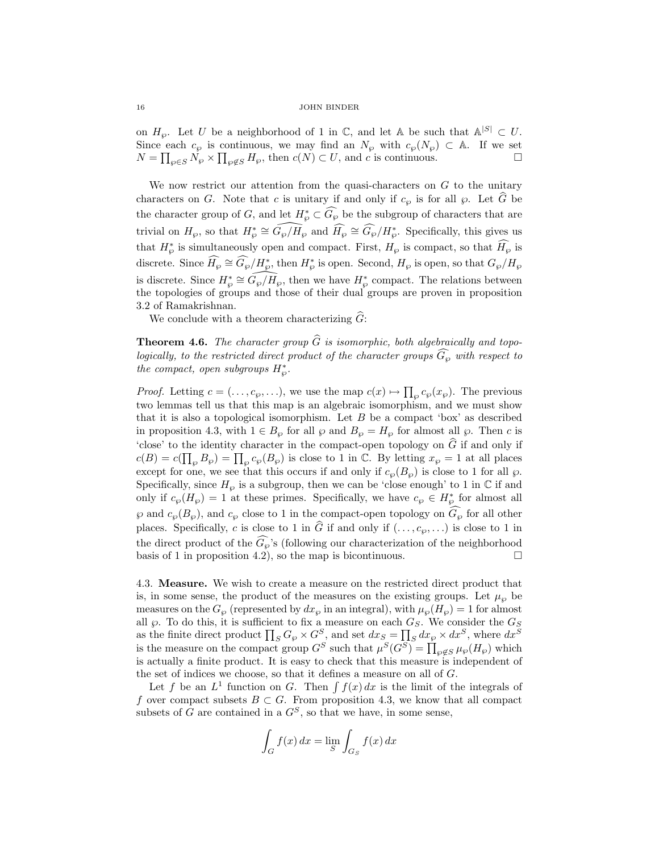on  $H_{\varphi}$ . Let U be a neighborhood of 1 in  $\mathbb{C}$ , and let A be such that  $\mathbb{A}^{|S|} \subset U$ . Since each  $c_{\wp}$  is continuous, we may find an  $N_{\wp}$  with  $c_{\wp}(N_{\wp}) \subset A$ . If we set  $N = \prod_{\wp \in S} N_{\wp} \times \prod_{\wp \notin S} H_{\wp}$ , then  $c(N) \subset U$ , and c is continuous.

We now restrict our attention from the quasi-characters on  $G$  to the unitary characters on G. Note that c is unitary if and only if  $c_{\varphi}$  is for all  $\varphi$ . Let  $\tilde{G}$  be the character group of G, and let  $H^*_{\wp} \subset \widehat{G_{\wp}}$  be the subgroup of characters that are trivial on  $H_{\wp}$ , so that  $H_{\wp}^* \cong \widehat{G_{\wp}/H_{\wp}}$  and  $\widehat{H_{\wp}} \cong \widehat{G_{\wp}}/H_{\wp}^*$ . Specifically, this gives us that  $H^*_{\varphi}$  is simultaneously open and compact. First,  $H_{\varphi}$  is compact, so that  $\widehat{H_{\varphi}}$  is discrete. Since  $\widehat{H_{\wp}} \cong \widehat{G_{\wp}}/H_{\wp}^*$ , then  $H_{\wp}^*$  is open. Second,  $H_{\wp}$  is open, so that  $G_{\wp}/H_{\wp}$ is discrete. Since  $H^*_{\wp} \cong \widehat{G_{\wp}/H_{\wp}},$  then we have  $H^*_{\wp}$  compact. The relations between the topologies of groups and those of their dual groups are proven in proposition 3.2 of Ramakrishnan.

We conclude with a theorem characterizing  $\widehat{G}$ :

**Theorem 4.6.** The character group  $\widehat{G}$  is isomorphic, both algebraically and topologically, to the restricted direct product of the character groups  $\widehat{G}_{\alpha}$  with respect to the compact, open subgroups  $H^*_{\wp}$ .

*Proof.* Letting  $c = (\ldots, c_{\wp}, \ldots)$ , we use the map  $c(x) \mapsto \prod_{\wp} c_{\wp}(x_{\wp})$ . The previous two lemmas tell us that this map is an algebraic isomorphism, and we must show that it is also a topological isomorphism. Let  $B$  be a compact 'box' as described in proposition 4.3, with  $1 \in B_{\wp}$  for all  $\wp$  and  $B_{\wp} = H_{\wp}$  for almost all  $\wp$ . Then c is 'close' to the identity character in the compact-open topology on  $\tilde{G}$  if and only if  $c(B) = c(\prod_{\wp} B_{\wp}) = \prod_{\wp} c_{\wp}(B_{\wp})$  is close to 1 in C. By letting  $x_{\wp} = 1$  at all places except for one, we see that this occurs if and only if  $c_{\varphi}(B_{\varphi})$  is close to 1 for all  $\varphi$ . Specifically, since  $H_{\varphi}$  is a subgroup, then we can be 'close enough' to 1 in  $\mathbb C$  if and only if  $c_{\wp}(H_{\wp}) = 1$  at these primes. Specifically, we have  $c_{\wp} \in H_{\wp}^*$  for almost all  $\wp$  and  $c_{\wp}(B_{\wp})$ , and  $c_{\wp}$  close to 1 in the compact-open topology on  $G_{\wp}$  for all other places. Specifically, c is close to 1 in  $\widehat{G}$  if and only if  $(\ldots, c_{\varphi}, \ldots)$  is close to 1 in the direct product of the  $G_{\varphi}$ 's (following our characterization of the neighborhood basis of 1 in proposition 4.2), so the map is bicontinuous.

4.3. Measure. We wish to create a measure on the restricted direct product that is, in some sense, the product of the measures on the existing groups. Let  $\mu_{\varphi}$  be measures on the  $G_{\wp}$  (represented by  $dx_{\wp}$  in an integral), with  $\mu_{\wp}(H_{\wp}) = 1$  for almost all  $\wp$ . To do this, it is sufficient to fix a measure on each  $G_S$ . We consider the  $G_S$ as the finite direct product  $\prod_S G_{\wp} \times G_S^S$ , and set  $dx_S = \prod_S dx_{\wp} \times dx^S$ , where  $dx^S$ is the measure on the compact group  $G^S$  such that  $\mu^S(G^S) = \prod_{\wp \notin S} \mu_\wp(H_\wp)$  which is actually a finite product. It is easy to check that this measure is independent of the set of indices we choose, so that it defines a measure on all of G.

Let f be an  $L^1$  function on G. Then  $\int f(x) dx$  is the limit of the integrals of f over compact subsets  $B \subset G$ . From proposition 4.3, we know that all compact subsets of G are contained in a  $G^S$ , so that we have, in some sense,

$$
\int_G f(x) dx = \lim_{S} \int_{G_S} f(x) dx
$$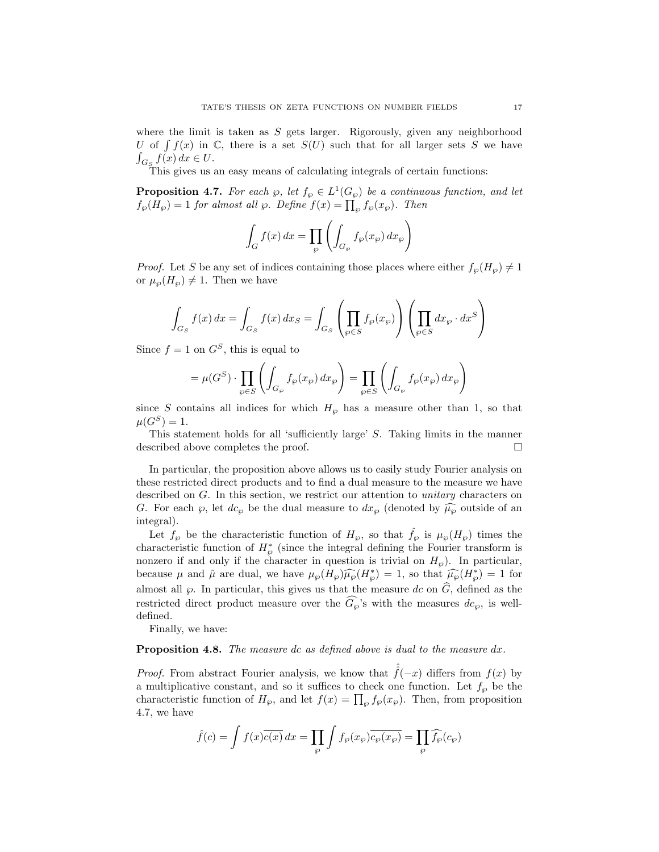where the limit is taken as  $S$  gets larger. Rigorously, given any neighborhood U of  $\int f(x)$  in C, there is a set  $S(U)$  such that for all larger sets S we have  $\int_{G_S} f(x) dx \in U$ .

This gives us an easy means of calculating integrals of certain functions:

**Proposition 4.7.** For each  $\wp$ , let  $f_{\wp} \in L^1(G_{\wp})$  be a continuous function, and let  $f_{\wp}(H_{\wp}) = 1$  for almost all  $\wp$ . Define  $f(x) = \prod_{\wp} f_{\wp}(x_{\wp})$ . Then

$$
\int_G f(x) dx = \prod_{\wp} \left( \int_{G_{\wp}} f_{\wp}(x_{\wp}) dx_{\wp} \right)
$$

*Proof.* Let S be any set of indices containing those places where either  $f_{\varphi}(H_{\varphi}) \neq 1$ or  $\mu_{\wp}(H_{\wp}) \neq 1$ . Then we have

$$
\int_{G_S} f(x) dx = \int_{G_S} f(x) dx_S = \int_{G_S} \left( \prod_{\wp \in S} f_{\wp}(x_{\wp}) \right) \left( \prod_{\wp \in S} dx_{\wp} \cdot dx^S \right)
$$

Since  $f = 1$  on  $G^S$ , this is equal to

$$
= \mu(G^S) \cdot \prod_{\wp \in S} \left( \int_{G_{\wp}} f_{\wp}(x_{\wp}) dx_{\wp} \right) = \prod_{\wp \in S} \left( \int_{G_{\wp}} f_{\wp}(x_{\wp}) dx_{\wp} \right)
$$

since S contains all indices for which  $H_{\wp}$  has a measure other than 1, so that  $\mu(G^S) = 1.$ 

This statement holds for all 'sufficiently large' S. Taking limits in the manner described above completes the proof.

In particular, the proposition above allows us to easily study Fourier analysis on these restricted direct products and to find a dual measure to the measure we have described on G. In this section, we restrict our attention to *unitary* characters on G. For each  $\wp$ , let  $dc_{\wp}$  be the dual measure to  $dx_{\wp}$  (denoted by  $\widehat{\mu_{\wp}}$  outside of an integral).

Let  $f_{\wp}$  be the characteristic function of  $H_{\wp}$ , so that  $\hat{f}_{\wp}$  is  $\mu_{\wp}(H_{\wp})$  times the characteristic function of  $H^*_{\varphi}$  (since the integral defining the Fourier transform is nonzero if and only if the character in question is trivial on  $H_{\wp}$ ). In particular, because  $\mu$  and  $\hat{\mu}$  are dual, we have  $\mu_{\wp}(H_{\wp})\widehat{\mu_{\wp}}(H_{\wp}^*)=1$ , so that  $\widehat{\mu_{\wp}}(H_{\wp}^*)=1$  for almost all  $\wp$ . In particular, this gives us that the measure dc on  $\hat{G}$ , defined as the restricted direct product measure over the  $\widehat{G}_{\varrho}$ 's with the measures  $dc_{\varphi}$ , is welldefined.

Finally, we have:

# Proposition 4.8. The measure dc as defined above is dual to the measure dx.

*Proof.* From abstract Fourier analysis, we know that  $\hat{f}(-x)$  differs from  $f(x)$  by a multiplicative constant, and so it suffices to check one function. Let  $f_{\varphi}$  be the characteristic function of  $H_{\wp}$ , and let  $f(x) = \prod_{\wp} f_{\wp}(x_{\wp})$ . Then, from proposition 4.7, we have

$$
\hat{f}(c) = \int f(x)\overline{c(x)} dx = \prod_{\wp} \int f_{\wp}(x_{\wp}) \overline{c_{\wp}(x_{\wp})} = \prod_{\wp} \widehat{f_{\wp}}(c_{\wp})
$$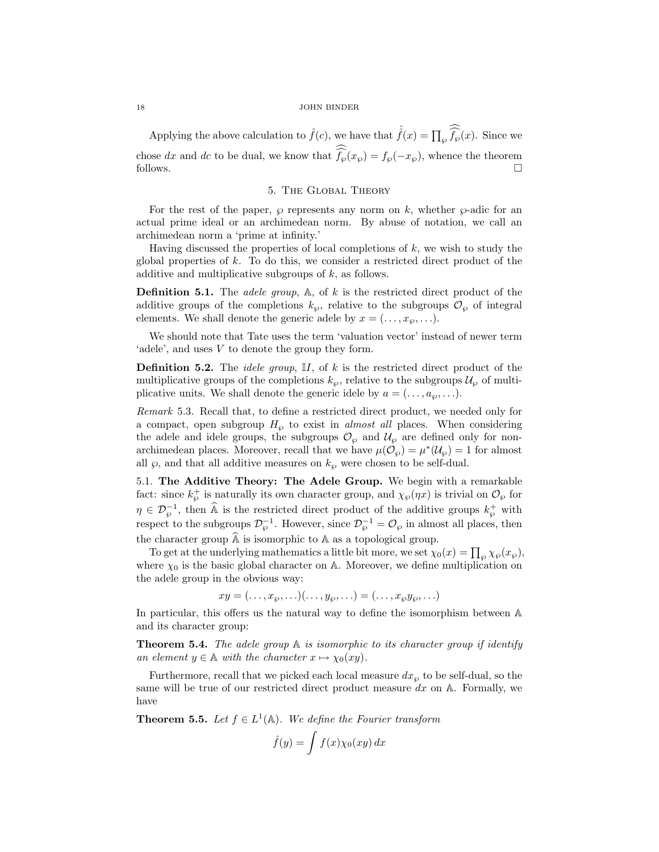Applying the above calculation to  $\hat{f}(c)$ , we have that  $\hat{\hat{f}}(x) = \prod_{\wp} \widehat{\hat{f}_{\wp}}(x)$ . Since we chose dx and dc to be dual, we know that  $f_{\varphi}(x_{\varphi}) = f_{\varphi}(-x_{\varphi})$ , whence the theorem follows.  $\Box$ 

### 5. The Global Theory

For the rest of the paper,  $\wp$  represents any norm on k, whether  $\wp$ -adic for an actual prime ideal or an archimedean norm. By abuse of notation, we call an archimedean norm a 'prime at infinity.'

Having discussed the properties of local completions of  $k$ , we wish to study the global properties of  $k$ . To do this, we consider a restricted direct product of the additive and multiplicative subgroups of k, as follows.

**Definition 5.1.** The *adele group*,  $A$ , of  $k$  is the restricted direct product of the additive groups of the completions  $k_{\varphi}$ , relative to the subgroups  $\mathcal{O}_{\varphi}$  of integral elements. We shall denote the generic adele by  $x = (..., x_{\wp}, ...)$ .

We should note that Tate uses the term 'valuation vector' instead of newer term 'adele', and uses V to denote the group they form.

**Definition 5.2.** The *idele group*,  $\mathbb{I}I$ , of  $k$  is the restricted direct product of the multiplicative groups of the completions  $k_{\varphi}$ , relative to the subgroups  $\mathcal{U}_{\varphi}$  of multiplicative units. We shall denote the generic idele by  $a = (..., a_{\wp},...)$ .

Remark 5.3. Recall that, to define a restricted direct product, we needed only for a compact, open subgroup  $H_{\varphi}$  to exist in *almost all* places. When considering the adele and idele groups, the subgroups  $\mathcal{O}_{\varphi}$  and  $\mathcal{U}_{\varphi}$  are defined only for nonarchimedean places. Moreover, recall that we have  $\mu(\mathcal{O}_{\wp}) = \mu^*(\mathcal{U}_{\wp}) = 1$  for almost all  $\wp$ , and that all additive measures on  $k_{\wp}$  were chosen to be self-dual.

5.1. The Additive Theory: The Adele Group. We begin with a remarkable fact: since  $k_{\wp}^+$  is naturally its own character group, and  $\chi_{\wp}(\eta x)$  is trivial on  $\mathcal{O}_{\wp}$  for  $\eta \in \mathcal{D}_{\varphi}^{-1}$ , then  $\widehat{A}$  is the restricted direct product of the additive groups  $k_{\varphi}^{+}$  with respect to the subgroups  $\mathcal{D}_{\varphi}^{-1}$ . However, since  $\mathcal{D}_{\varphi}^{-1} = \mathcal{O}_{\varphi}$  in almost all places, then the character group  $\widehat{A}$  is isomorphic to  $A$  as a topological group.

To get at the underlying mathematics a little bit more, we set  $\chi_0(x) = \prod_{\wp} \chi_{\wp}(x_{\wp}),$ where  $\chi_0$  is the basic global character on A. Moreover, we define multiplication on the adele group in the obvious way:

 $xy = (\ldots, x_{\wp}, \ldots)(\ldots, y_{\wp}, \ldots) = (\ldots, x_{\wp}y_{\wp}, \ldots)$ 

In particular, this offers us the natural way to define the isomorphism between A and its character group:

**Theorem 5.4.** The adele group  $A$  is isomorphic to its character group if identify an element  $y \in \mathbb{A}$  with the character  $x \mapsto \chi_0(xy)$ .

Furthermore, recall that we picked each local measure  $dx_{\varphi}$  to be self-dual, so the same will be true of our restricted direct product measure  $dx$  on  $A$ . Formally, we have

**Theorem 5.5.** Let  $f \in L^1(\mathbb{A})$ . We define the Fourier transform

$$
\hat{f}(y) = \int f(x) \chi_0(xy) \, dx
$$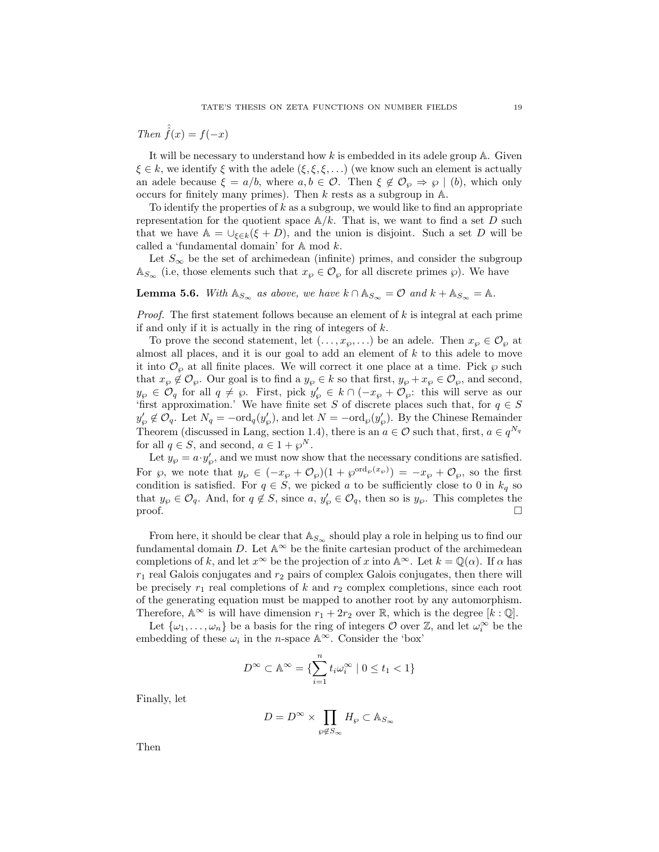Then  $\tilde{f}(x) = f(-x)$ 

It will be necessary to understand how  $k$  is embedded in its adele group  $\mathbb{A}$ . Given  $\xi \in k$ , we identify  $\xi$  with the adele  $(\xi, \xi, \xi, \ldots)$  (we know such an element is actually an adele because  $\xi = a/b$ , where  $a, b \in \mathcal{O}$ . Then  $\xi \notin \mathcal{O}_{\varphi} \Rightarrow \varphi \mid (b)$ , which only occurs for finitely many primes). Then  $k$  rests as a subgroup in  $A$ .

To identify the properties of  $k$  as a subgroup, we would like to find an appropriate representation for the quotient space  $\mathbb{A}/k$ . That is, we want to find a set D such that we have  $\mathbb{A} = \bigcup_{\xi \in k} (\xi + D)$ , and the union is disjoint. Such a set D will be called a 'fundamental domain' for A mod k.

Let  $S_{\infty}$  be the set of archimedean (infinite) primes, and consider the subgroup  $\mathbb{A}_{S_{\infty}}$  (i.e, those elements such that  $x_{\wp} \in \mathcal{O}_{\wp}$  for all discrete primes  $\wp$ ). We have

**Lemma 5.6.** With  $\mathbb{A}_{S_{\infty}}$  as above, we have  $k \cap \mathbb{A}_{S_{\infty}} = \mathcal{O}$  and  $k + \mathbb{A}_{S_{\infty}} = \mathbb{A}$ .

*Proof.* The first statement follows because an element of  $k$  is integral at each prime if and only if it is actually in the ring of integers of  $k$ .

To prove the second statement, let  $(\ldots, x_{\wp}, \ldots)$  be an adele. Then  $x_{\wp} \in \mathcal{O}_{\wp}$  at almost all places, and it is our goal to add an element of  $k$  to this adele to move it into  $\mathcal{O}_{\varphi}$  at all finite places. We will correct it one place at a time. Pick  $\varphi$  such that  $x_{\wp} \notin \mathcal{O}_{\wp}$ . Our goal is to find a  $y_{\wp} \in k$  so that first,  $y_{\wp} + x_{\wp} \in \mathcal{O}_{\wp}$ , and second,  $y_{\wp} \in \mathcal{O}_q$  for all  $q \neq \wp$ . First, pick  $y_{\wp}' \in k \cap (-x_{\wp} + \mathcal{O}_{\wp})$ : this will serve as our 'first approximation.' We have finite set S of discrete places such that, for  $q \in S$  $y'_{\wp} \notin \mathcal{O}_q$ . Let  $N_q = -\text{ord}_q(y'_{\wp})$ , and let  $N = -\text{ord}_{\wp}(y'_{\wp})$ . By the Chinese Remainder Theorem (discussed in Lang, section 1.4), there is an  $a \in \mathcal{O}$  such that, first,  $a \in q^{N_q}$ for all  $q \in S$ , and second,  $a \in 1 + \wp^N$ .

Let  $y_{\varphi} = a \cdot y_{\varphi}'$ , and we must now show that the necessary conditions are satisfied. For  $\wp$ , we note that  $y_{\wp} \in (-x_{\wp} + \mathcal{O}_{\wp})(1 + \wp^{\text{ord}_{\wp}(x_{\wp})}) = -x_{\wp} + \mathcal{O}_{\wp}$ , so the first condition is satisfied. For  $q \in S$ , we picked a to be sufficiently close to 0 in  $k_q$  so that  $y_{\varphi} \in \mathcal{O}_q$ . And, for  $q \notin S$ , since  $a, y'_{\varphi} \in \mathcal{O}_q$ , then so is  $y_{\varphi}$ . This completes the proof.  $\Box$ 

From here, it should be clear that  $\mathbb{A}_{S_{\infty}}$  should play a role in helping us to find our fundamental domain  $D$ . Let  $\mathbb{A}^{\infty}$  be the finite cartesian product of the archimedean completions of k, and let  $x^{\infty}$  be the projection of x into  $\mathbb{A}^{\infty}$ . Let  $k = \mathbb{Q}(\alpha)$ . If  $\alpha$  has  $r_1$  real Galois conjugates and  $r_2$  pairs of complex Galois conjugates, then there will be precisely  $r_1$  real completions of k and  $r_2$  complex completions, since each root of the generating equation must be mapped to another root by any automorphism. Therefore,  $\mathbb{A}^{\infty}$  is will have dimension  $r_1 + 2r_2$  over R, which is the degree  $[k:\mathbb{Q}]$ .

Let  $\{\omega_1,\ldots,\omega_n\}$  be a basis for the ring of integers  $\mathcal O$  over  $\mathbb Z$ , and let  $\omega_i^{\infty}$  be the embedding of these  $\omega_i$  in the n-space  $\mathbb{A}^{\infty}$ . Consider the 'box'

$$
D^{\infty} \subset \mathbb{A}^{\infty} = \{ \sum_{i=1}^{n} t_i \omega_i^{\infty} \mid 0 \le t_1 < 1 \}
$$

Finally, let

$$
D=D^\infty\times\prod_{\wp\not\in S_\infty}H_\wp\subset \mathbb{A}_{S_\infty}
$$

Then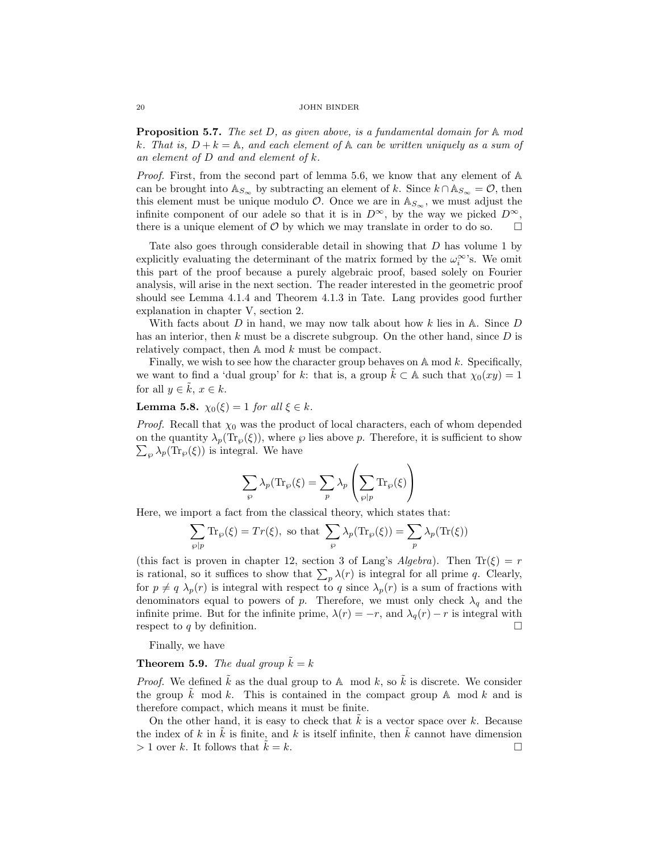**Proposition 5.7.** The set  $D$ , as given above, is a fundamental domain for  $A$  mod k. That is,  $D + k = \mathbb{A}$ , and each element of  $\mathbb{A}$  can be written uniquely as a sum of an element of  $D$  and and element of  $k$ .

*Proof.* First, from the second part of lemma 5.6, we know that any element of  $\mathbb{A}$ can be brought into  $\mathbb{A}_{S_{\infty}}$  by subtracting an element of k. Since  $k \cap \mathbb{A}_{S_{\infty}} = \mathcal{O}$ , then this element must be unique modulo  $\mathcal{O}$ . Once we are in  $\mathbb{A}_{S_{\infty}}$ , we must adjust the infinite component of our adele so that it is in  $D^{\infty}$ , by the way we picked  $D^{\infty}$ , there is a unique element of  $\mathcal O$  by which we may translate in order to do so.  $\Box$ 

Tate also goes through considerable detail in showing that D has volume 1 by explicitly evaluating the determinant of the matrix formed by the  $\omega_i^{\infty}$ 's. We omit this part of the proof because a purely algebraic proof, based solely on Fourier analysis, will arise in the next section. The reader interested in the geometric proof should see Lemma 4.1.4 and Theorem 4.1.3 in Tate. Lang provides good further explanation in chapter V, section 2.

With facts about D in hand, we may now talk about how k lies in A. Since D has an interior, then  $k$  must be a discrete subgroup. On the other hand, since  $D$  is relatively compact, then A mod k must be compact.

Finally, we wish to see how the character group behaves on  $\mathbb A$  mod k. Specifically, we want to find a 'dual group' for k: that is, a group  $k \subset \mathbb{A}$  such that  $\chi_0(xy) = 1$ for all  $y \in k$ ,  $x \in k$ .

# Lemma 5.8.  $\chi_0(\xi) = 1$  for all  $\xi \in k$ .

*Proof.* Recall that  $\chi_0$  was the product of local characters, each of whom depended  $\sum_{\wp} \lambda_p(\text{Tr}_{\wp}(\xi))$  is integral. We have on the quantity  $\lambda_p(\text{Tr}_\wp(\xi))$ , where  $\wp$  lies above p. Therefore, it is sufficient to show

$$
\sum_{\wp} \lambda_p(\text{Tr}_{\wp}(\xi) = \sum_{p} \lambda_p \left( \sum_{\wp|p} \text{Tr}_{\wp}(\xi) \right)
$$

Here, we import a fact from the classical theory, which states that:

$$
\sum_{\wp|p} \text{Tr}_{\wp}(\xi) = Tr(\xi), \text{ so that } \sum_{\wp} \lambda_p(\text{Tr}_{\wp}(\xi)) = \sum_{p} \lambda_p(\text{Tr}(\xi))
$$

(this fact is proven in chapter 12, section 3 of Lang's Algebra). Then  $\text{Tr}(\xi) = r$ is rational, so it suffices to show that  $\sum_{p} \lambda(r)$  is integral for all prime q. Clearly, for  $p \neq q \lambda_p(r)$  is integral with respect to q since  $\lambda_p(r)$  is a sum of fractions with denominators equal to powers of p. Therefore, we must only check  $\lambda_q$  and the infinite prime. But for the infinite prime,  $\lambda(r) = -r$ , and  $\lambda_q(r) - r$  is integral with respect to q by definition.

Finally, we have

# **Theorem 5.9.** The dual group  $\tilde{k} = k$

*Proof.* We defined  $\tilde{k}$  as the dual group to A mod k, so  $\tilde{k}$  is discrete. We consider the group k mod k. This is contained in the compact group  $A$  mod k and is therefore compact, which means it must be finite.

On the other hand, it is easy to check that  $k$  is a vector space over  $k$ . Because the index of k in  $\tilde{k}$  is finite, and k is itself infinite, then  $\tilde{k}$  cannot have dimension  $> 1$  over k. It follows that  $k = k$ .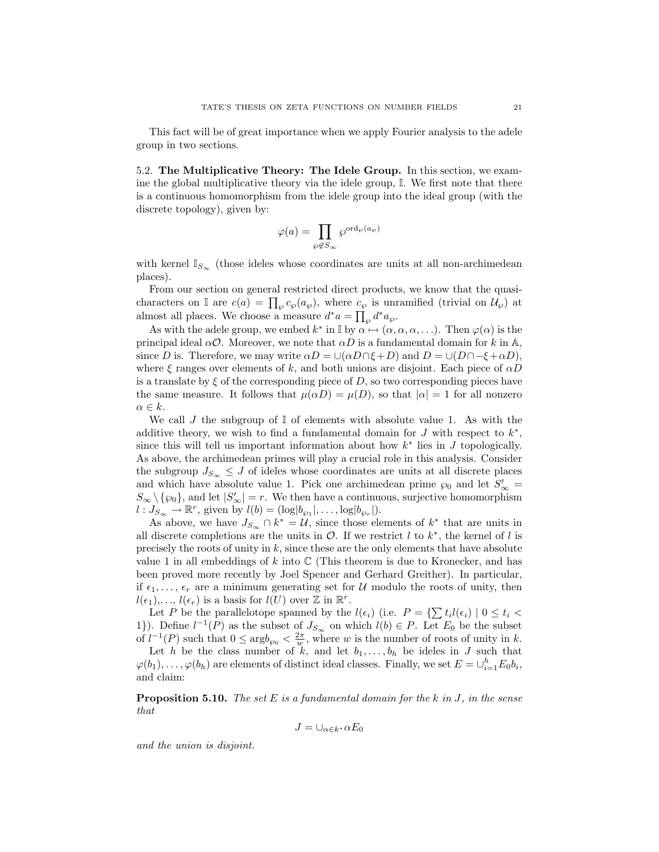This fact will be of great importance when we apply Fourier analysis to the adele group in two sections.

5.2. The Multiplicative Theory: The Idele Group. In this section, we examine the global multiplicative theory via the idele group, I. We first note that there is a continuous homomorphism from the idele group into the ideal group (with the discrete topology), given by:

$$
\varphi(a)=\prod_{\wp\not\in S_\infty}\wp^{{\rm ord}_\wp(a_\wp)}
$$

with kernel  $\mathbb{I}_{S_{\infty}}$  (those ideles whose coordinates are units at all non-archimedean places).

From our section on general restricted direct products, we know that the quasicharacters on I are  $c(a) = \prod_{\wp} c_{\wp}(a_{\wp}),$  where  $c_{\wp}$  is unramified (trivial on  $\mathcal{U}_{\wp}$ ) at almost all places. We choose a measure  $d^*a = \prod_{\wp} d^* a_{\wp}$ .

As with the adele group, we embed  $k^*$  in  $\mathbb{I}$  by  $\alpha \mapsto (\alpha, \alpha, \alpha, ...)$ . Then  $\varphi(\alpha)$  is the principal ideal  $\alpha \mathcal{O}$ . Moreover, we note that  $\alpha D$  is a fundamental domain for k in A, since D is. Therefore, we may write  $\alpha D = \cup(\alpha D \cap \xi + D)$  and  $D = \cup(D \cap -\xi + \alpha D)$ , where  $\xi$  ranges over elements of k, and both unions are disjoint. Each piece of  $\alpha D$ is a translate by  $\xi$  of the corresponding piece of D, so two corresponding pieces have the same measure. It follows that  $\mu(\alpha D) = \mu(D)$ , so that  $|\alpha| = 1$  for all nonzero  $\alpha \in k$ .

We call J the subgroup of  $\mathbb{I}$  of elements with absolute value 1. As with the additive theory, we wish to find a fundamental domain for  $J$  with respect to  $k^*$ , since this will tell us important information about how  $k^*$  lies in  $J$  topologically. As above, the archimedean primes will play a crucial role in this analysis. Consider the subgroup  $J_{S_{\infty}} \leq J$  of ideles whose coordinates are units at all discrete places and which have absolute value 1. Pick one archimedean prime  $\wp_0$  and let  $S'_{\infty}$  =  $S_{\infty} \setminus \{\wp_{0}\}\$ , and let  $|S'_{\infty}| = r$ . We then have a continuous, surjective homomorphism  $l: J_{S_{\infty}} \to \mathbb{R}^r$ , given by  $l(b) = (\log |b_{\wp_1}|, \ldots, \log |b_{\wp_r}|)$ .

As above, we have  $J_{S_{\infty}} \cap k^* = \mathcal{U}$ , since those elements of  $k^*$  that are units in all discrete completions are the units in  $\mathcal{O}$ . If we restrict l to  $k^*$ , the kernel of l is precisely the roots of unity in  $k$ , since these are the only elements that have absolute value 1 in all embeddings of k into  $\mathbb C$  (This theorem is due to Kronecker, and has been proved more recently by Joel Spencer and Gerhard Greither). In particular, if  $\epsilon_1, \ldots, \epsilon_r$  are a minimum generating set for U modulo the roots of unity, then  $l(\epsilon_1), \ldots, l(\epsilon_r)$  is a basis for  $l(U)$  over  $\mathbb Z$  in  $\mathbb R^r$ .

Let P be the parallelotope spanned by the  $l(\epsilon_i)$  (i.e.  $P = \{\sum t_i l(\epsilon_i) \mid 0 \le t_i < \epsilon_i\}$ 1}). Define  $l^{-1}(P)$  as the subset of  $J_{S_{\infty}}$  on which  $l(b) \in P$ . Let  $E_0$  be the subset of  $l^{-1}(P)$  such that  $0 \leq \arg b_{\varphi_0} < \frac{2\pi}{w}$ , where w is the number of roots of unity in k.

Let h be the class number of  $\tilde{k}$ , and let  $b_1, \ldots, b_h$  be ideles in J such that  $\varphi(b_1), \ldots, \varphi(b_h)$  are elements of distinct ideal classes. Finally, we set  $E = \cup_{i=1}^h E_0 b_i$ , and claim:

**Proposition 5.10.** The set E is a fundamental domain for the k in J, in the sense that

$$
J=\cup_{\alpha\in k^*}\alpha E_0
$$

and the union is disjoint.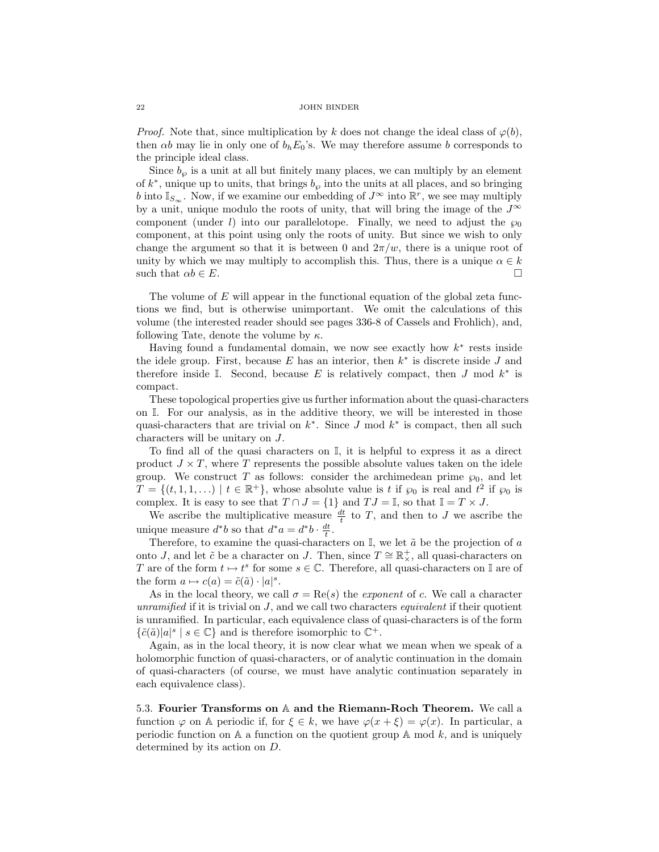*Proof.* Note that, since multiplication by k does not change the ideal class of  $\varphi(b)$ , then  $\alpha b$  may lie in only one of  $b_h E_0$ 's. We may therefore assume b corresponds to the principle ideal class.

Since  $b_{\varphi}$  is a unit at all but finitely many places, we can multiply by an element of  $k^*$ , unique up to units, that brings  $b_{\varphi}$  into the units at all places, and so bringing b into  $\mathbb{I}_{S_{\infty}}$ . Now, if we examine our embedding of  $J^{\infty}$  into  $\mathbb{R}^{r}$ , we see may multiply by a unit, unique modulo the roots of unity, that will bring the image of the  $J^{\infty}$ component (under l) into our parallelotope. Finally, we need to adjust the  $\wp_0$ component, at this point using only the roots of unity. But since we wish to only change the argument so that it is between 0 and  $2\pi/w$ , there is a unique root of unity by which we may multiply to accomplish this. Thus, there is a unique  $\alpha \in k$ such that  $\alpha b \in E$ .

The volume of  $E$  will appear in the functional equation of the global zeta functions we find, but is otherwise unimportant. We omit the calculations of this volume (the interested reader should see pages 336-8 of Cassels and Frohlich), and, following Tate, denote the volume by  $\kappa$ .

Having found a fundamental domain, we now see exactly how  $k^*$  rests inside the idele group. First, because  $E$  has an interior, then  $k^*$  is discrete inside  $J$  and therefore inside  $\mathbb{I}$ . Second, because E is relatively compact, then J mod  $k^*$  is compact.

These topological properties give us further information about the quasi-characters on I. For our analysis, as in the additive theory, we will be interested in those quasi-characters that are trivial on  $k^*$ . Since J mod  $k^*$  is compact, then all such characters will be unitary on J.

To find all of the quasi characters on I, it is helpful to express it as a direct product  $J \times T$ , where T represents the possible absolute values taken on the idele group. We construct T as follows: consider the archimedean prime  $\wp_0$ , and let  $T = \{(t,1,1,\ldots) \mid t \in \mathbb{R}^+\}$ , whose absolute value is t if  $\wp_0$  is real and  $t^2$  if  $\wp_0$  is complex. It is easy to see that  $T \cap J = \{1\}$  and  $TJ = \mathbb{I}$ , so that  $\mathbb{I} = T \times J$ .

We ascribe the multiplicative measure  $\frac{dt}{t}$  to T, and then to J we ascribe the unique measure  $d^*b$  so that  $d^*a = d^*b \cdot \frac{dt}{t}$ .

Therefore, to examine the quasi-characters on  $\mathbb{I}$ , we let  $\tilde{a}$  be the projection of a onto J, and let  $\tilde{c}$  be a character on J. Then, since  $T \cong \mathbb{R}^+_{\times}$ , all quasi-characters on T are of the form  $t \mapsto t^s$  for some  $s \in \mathbb{C}$ . Therefore, all quasi-characters on I are of the form  $a \mapsto c(a) = \tilde{c}(\tilde{a}) \cdot |a|^{s}$ .

As in the local theory, we call  $\sigma = \text{Re}(s)$  the *exponent* of c. We call a character unramified if it is trivial on  $J$ , and we call two characters *equivalent* if their quotient is unramified. In particular, each equivalence class of quasi-characters is of the form  $\{\tilde{c}(\tilde{a})|a|^{s} \mid s \in \mathbb{C}\}\$ and is therefore isomorphic to  $\mathbb{C}^+$ .

Again, as in the local theory, it is now clear what we mean when we speak of a holomorphic function of quasi-characters, or of analytic continuation in the domain of quasi-characters (of course, we must have analytic continuation separately in each equivalence class).

5.3. Fourier Transforms on A and the Riemann-Roch Theorem. We call a function  $\varphi$  on A periodic if, for  $\xi \in k$ , we have  $\varphi(x + \xi) = \varphi(x)$ . In particular, a periodic function on  $A$  a function on the quotient group  $A$  mod  $k$ , and is uniquely determined by its action on D.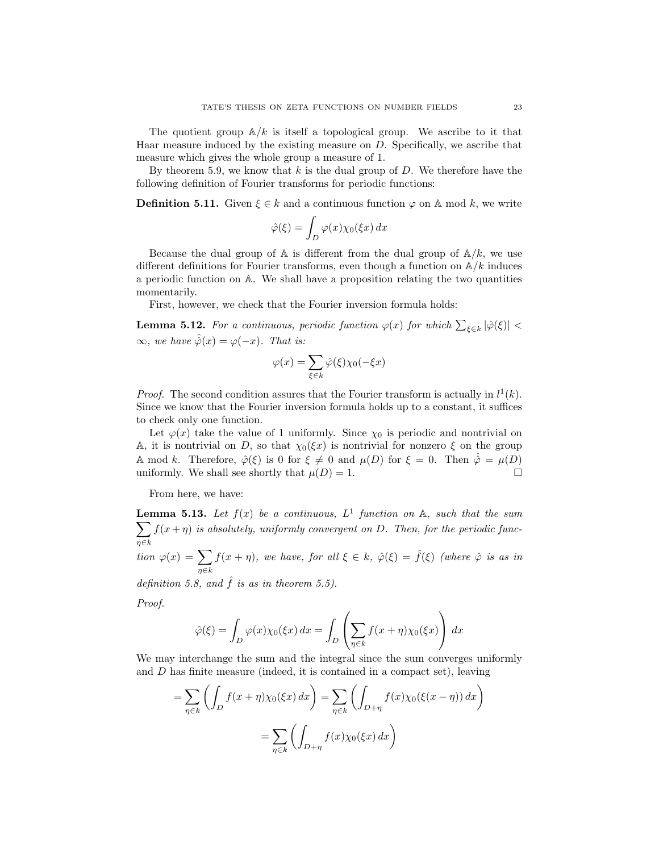The quotient group  $\mathbb{A}/k$  is itself a topological group. We ascribe to it that Haar measure induced by the existing measure on D. Specifically, we ascribe that measure which gives the whole group a measure of 1.

By theorem 5.9, we know that  $k$  is the dual group of  $D$ . We therefore have the following definition of Fourier transforms for periodic functions:

**Definition 5.11.** Given  $\xi \in k$  and a continuous function  $\varphi$  on A mod k, we write

$$
\hat{\varphi}(\xi) = \int_D \varphi(x) \chi_0(\xi x) \, dx
$$

Because the dual group of  $A$  is different from the dual group of  $A/k$ , we use different definitions for Fourier transforms, even though a function on  $\mathbb{A}/k$  induces a periodic function on A. We shall have a proposition relating the two quantities momentarily.

First, however, we check that the Fourier inversion formula holds:

**Lemma 5.12.** For a continuous, periodic function  $\varphi(x)$  for which  $\sum_{\xi \in k} |\hat{\varphi}(\xi)|$  <  $\infty$ , we have  $\hat{\hat{\varphi}}(x) = \varphi(-x)$ . That is:

$$
\varphi(x) = \sum_{\xi \in k} \hat{\varphi}(\xi) \chi_0(-\xi x)
$$

*Proof.* The second condition assures that the Fourier transform is actually in  $l^1(k)$ . Since we know that the Fourier inversion formula holds up to a constant, it suffices to check only one function.

Let  $\varphi(x)$  take the value of 1 uniformly. Since  $\chi_0$  is periodic and nontrivial on A, it is nontrivial on D, so that  $\chi_0(\xi x)$  is nontrivial for nonzero  $\xi$  on the group A mod k. Therefore,  $\hat{\varphi}(\xi)$  is 0 for  $\xi \neq 0$  and  $\mu(D)$  for  $\xi = 0$ . Then  $\hat{\varphi} = \mu(D)$ uniformly. We shall see shortly that  $\mu(D) = 1$ .

From here, we have:

**Lemma 5.13.** Let  $f(x)$  be a continuous,  $L^1$  function on  $\mathbb{A}$ , such that the sum  $\sum$ η∈k  $f(x + \eta)$  is absolutely, uniformly convergent on D. Then, for the periodic func-

tion  $\varphi(x) = \sum$  $\eta \in k$  $f(x + \eta)$ , we have, for all  $\xi \in k$ ,  $\hat{\varphi}(\xi) = \hat{f}(\xi)$  (where  $\hat{\varphi}$  is as in

definition 5.8, and  $\hat{f}$  is as in theorem 5.5).

Proof.

$$
\hat{\varphi}(\xi) = \int_D \varphi(x) \chi_0(\xi x) dx = \int_D \left( \sum_{\eta \in k} f(x + \eta) \chi_0(\xi x) \right) dx
$$

We may interchange the sum and the integral since the sum converges uniformly and  $D$  has finite measure (indeed, it is contained in a compact set), leaving

$$
= \sum_{\eta \in k} \left( \int_D f(x + \eta) \chi_0(\xi x) dx \right) = \sum_{\eta \in k} \left( \int_{D + \eta} f(x) \chi_0(\xi(x - \eta)) dx \right)
$$

$$
= \sum_{\eta \in k} \left( \int_{D + \eta} f(x) \chi_0(\xi x) dx \right)
$$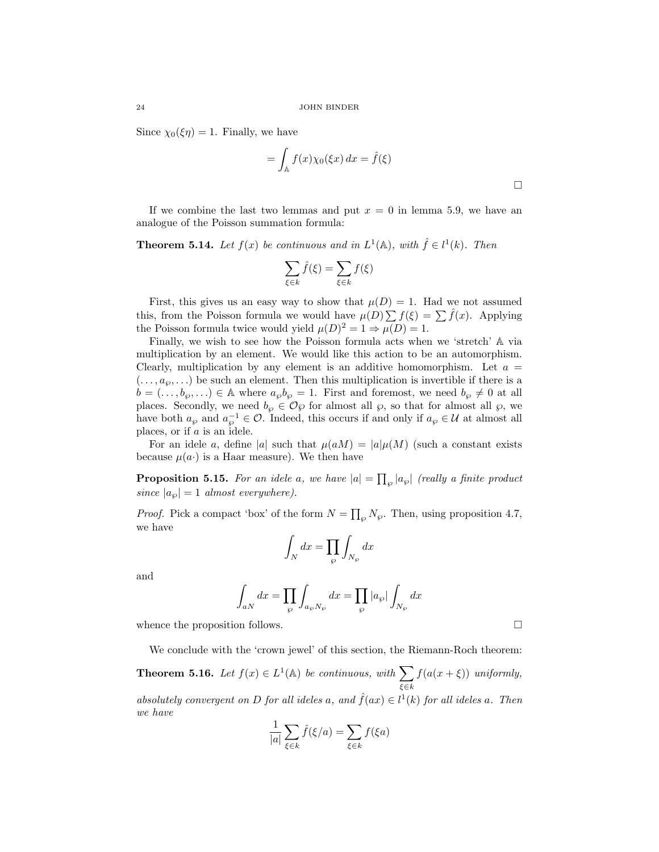Since  $\chi_0(\xi \eta) = 1$ . Finally, we have

$$
= \int_{\mathbb{A}} f(x) \chi_0(\xi x) dx = \hat{f}(\xi)
$$

If we combine the last two lemmas and put  $x = 0$  in lemma 5.9, we have an analogue of the Poisson summation formula:

**Theorem 5.14.** Let  $f(x)$  be continuous and in  $L^1(\mathbb{A})$ , with  $\hat{f} \in l^1(k)$ . Then

$$
\sum_{\xi \in k} \hat{f}(\xi) = \sum_{\xi \in k} f(\xi)
$$

First, this gives us an easy way to show that  $\mu(D) = 1$ . Had we not assumed this, from the Poisson formula we would have  $\mu(D) \sum f(\xi) = \sum \hat{f}(x)$ . Applying the Poisson formula twice would yield  $\mu(D)^2 = 1 \Rightarrow \mu(D) = 1$ .

Finally, we wish to see how the Poisson formula acts when we 'stretch' A via multiplication by an element. We would like this action to be an automorphism. Clearly, multiplication by any element is an additive homomorphism. Let  $a =$  $(..., a_{\varphi},...)$  be such an element. Then this multiplication is invertible if there is a  $b = (\ldots, b_{\varphi}, \ldots) \in A$  where  $a_{\varphi}b_{\varphi} = 1$ . First and foremost, we need  $b_{\varphi} \neq 0$  at all places. Secondly, we need  $b_{\varphi} \in \mathcal{O}_{\varphi}$  for almost all  $\varphi$ , so that for almost all  $\varphi$ , we have both  $a_{\wp}$  and  $a_{\wp}^{-1} \in \mathcal{O}$ . Indeed, this occurs if and only if  $a_{\wp} \in \mathcal{U}$  at almost all places, or if a is an idele.

For an idele a, define |a| such that  $\mu(aM) = |a|\mu(M)$  (such a constant exists because  $\mu(a)$  is a Haar measure). We then have

**Proposition 5.15.** For an idele a, we have  $|a| = \prod_{\wp} |a_{\wp}|$  (really a finite product since  $|a_{\wp}| = 1$  almost everywhere).

*Proof.* Pick a compact 'box' of the form  $N = \prod_{\wp} N_{\wp}$ . Then, using proposition 4.7, we have

$$
\int_N dx = \prod_{\wp} \int_{N_{\wp}} dx
$$

and

$$
\int_{aN} dx = \prod_{\wp} \int_{a_{\wp}N_{\wp}} dx = \prod_{\wp} |a_{\wp}| \int_{N_{\wp}} dx
$$

whence the proposition follows.  $\Box$ 

We conclude with the 'crown jewel' of this section, the Riemann-Roch theorem:

**Theorem 5.16.** Let  $f(x) \in L^1(\mathbb{A})$  be continuous, with  $\sum$  $\xi$ ∈ $k$  $f(a(x + \xi))$  uniformly, absolutely convergent on D for all ideles a, and  $\hat{f}(ax) \in l^1(k)$  for all ideles a. Then we have

$$
\frac{1}{|a|} \sum_{\xi \in k} \hat{f}(\xi/a) = \sum_{\xi \in k} f(\xi a)
$$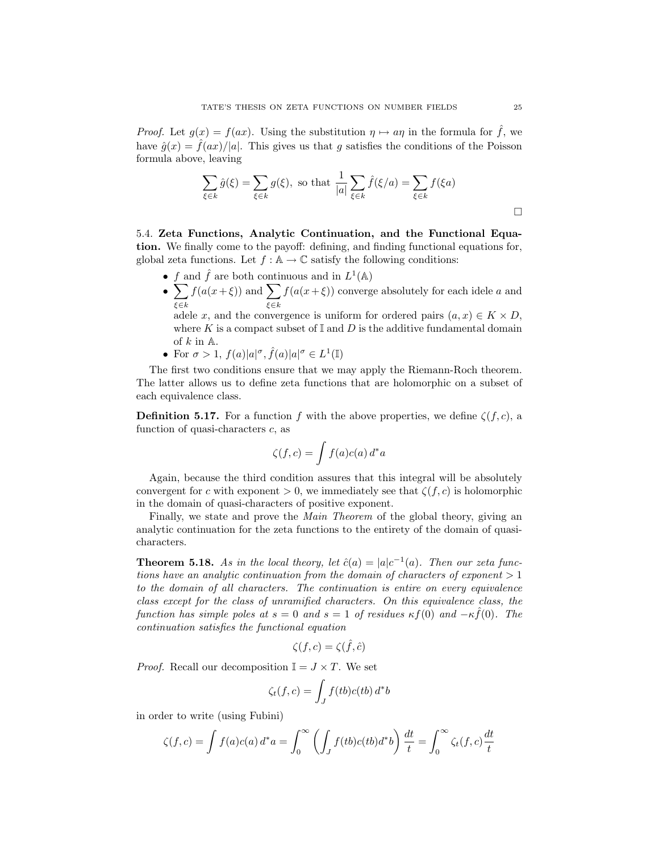*Proof.* Let  $g(x) = f(ax)$ . Using the substitution  $\eta \mapsto a\eta$  in the formula for  $\hat{f}$ , we have  $\hat{q}(x) = \hat{f}(ax)/|a|$ . This gives us that q satisfies the conditions of the Poisson formula above, leaving

$$
\sum_{\xi \in k} \hat{g}(\xi) = \sum_{\xi \in k} g(\xi), \text{ so that } \frac{1}{|a|} \sum_{\xi \in k} \hat{f}(\xi/a) = \sum_{\xi \in k} f(\xi a)
$$

5.4. Zeta Functions, Analytic Continuation, and the Functional Equation. We finally come to the payoff: defining, and finding functional equations for, global zeta functions. Let  $f : A \to \mathbb{C}$  satisfy the following conditions:

- f and  $\hat{f}$  are both continuous and in  $L^1(\mathbb{A})$
- $\bullet$   $\sum$ ξ∈k  $f(a(x+\xi))$  and  $\sum$ ξ∈k  $f(a(x+\xi))$  converge absolutely for each idele a and

adele x, and the convergence is uniform for ordered pairs  $(a, x) \in K \times D$ , where K is a compact subset of  $\mathbb{I}$  and D is the additive fundamental domain of  $k$  in  $\mathbb{A}$ .

• For  $\sigma > 1$ ,  $f(a)|a|^{\sigma}$ ,  $\hat{f}(a)|a|^{\sigma} \in L^1(\mathbb{I})$ 

The first two conditions ensure that we may apply the Riemann-Roch theorem. The latter allows us to define zeta functions that are holomorphic on a subset of each equivalence class.

**Definition 5.17.** For a function f with the above properties, we define  $\zeta(f,c)$ , a function of quasi-characters c, as

$$
\zeta(f,c) = \int f(a)c(a) d^*a
$$

Again, because the third condition assures that this integral will be absolutely convergent for c with exponent  $> 0$ , we immediately see that  $\zeta(f,c)$  is holomorphic in the domain of quasi-characters of positive exponent.

Finally, we state and prove the *Main Theorem* of the global theory, giving an analytic continuation for the zeta functions to the entirety of the domain of quasicharacters.

**Theorem 5.18.** As in the local theory, let  $\hat{c}(a) = |a|c^{-1}(a)$ . Then our zeta functions have an analytic continuation from the domain of characters of exponent  $> 1$ to the domain of all characters. The continuation is entire on every equivalence class except for the class of unramified characters. On this equivalence class, the function has simple poles at  $s = 0$  and  $s = 1$  of residues  $\kappa f(0)$  and  $-\kappa \hat{f}(0)$ . The continuation satisfies the functional equation

$$
\zeta(f,c) = \zeta(\hat{f},\hat{c})
$$

*Proof.* Recall our decomposition  $\mathbb{I} = J \times T$ . We set

$$
\zeta_t(f,c) = \int_J f(tb)c(tb) d^*b
$$

in order to write (using Fubini)

$$
\zeta(f,c) = \int f(a)c(a) d^*a = \int_0^\infty \left( \int_J f(tb)c(tb) d^*b \right) \frac{dt}{t} = \int_0^\infty \zeta_t(f,c) \frac{dt}{t}
$$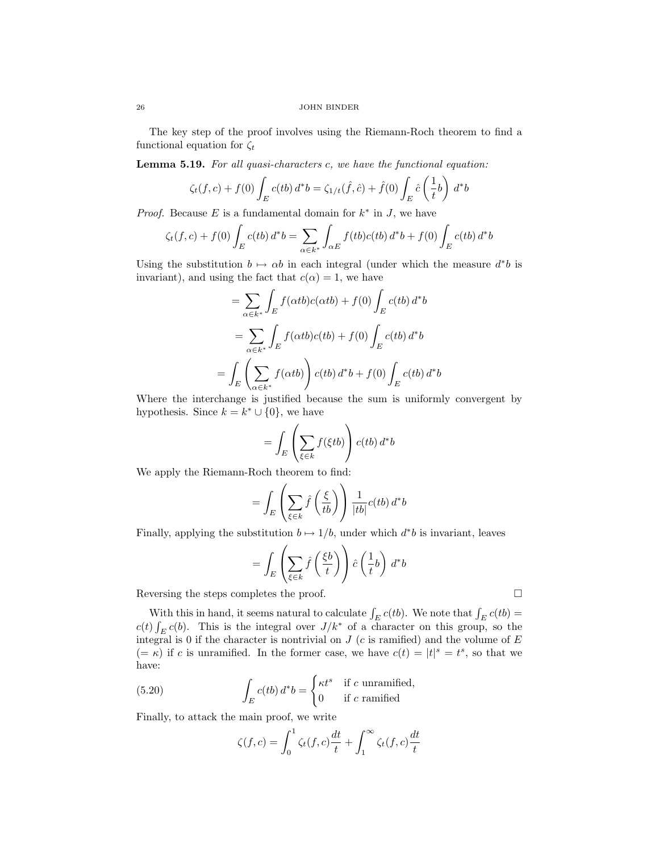The key step of the proof involves using the Riemann-Roch theorem to find a functional equation for  $\zeta_t$ 

Lemma 5.19. For all quasi-characters c, we have the functional equation:

$$
\zeta_t(f,c) + f(0) \int_E c(tb) d^*b = \zeta_{1/t}(\hat{f}, \hat{c}) + \hat{f}(0) \int_E \hat{c} \left(\frac{1}{t}b\right) d^*b
$$

*Proof.* Because E is a fundamental domain for  $k^*$  in J, we have

$$
\zeta_t(f,c) + f(0) \int_E c(tb) d^*b = \sum_{\alpha \in k^*} \int_{\alpha E} f(tb)c(tb) d^*b + f(0) \int_E c(tb) d^*b
$$

Using the substitution  $b \mapsto \alpha b$  in each integral (under which the measure  $d^*b$  is invariant), and using the fact that  $c(\alpha) = 1$ , we have

$$
= \sum_{\alpha \in k^*} \int_E f(\alpha tb) c(\alpha tb) + f(0) \int_E c(tb) d^*b
$$

$$
= \sum_{\alpha \in k^*} \int_E f(\alpha tb) c(tb) + f(0) \int_E c(tb) d^*b
$$

$$
= \int_E \left(\sum_{\alpha \in k^*} f(\alpha tb)\right) c(tb) d^*b + f(0) \int_E c(tb) d^*b
$$

Where the interchange is justified because the sum is uniformly convergent by hypothesis. Since  $k = k^* \cup \{0\}$ , we have

$$
= \int_{E} \left( \sum_{\xi \in k} f(\xi tb) \right) c(tb) d^*b
$$

We apply the Riemann-Roch theorem to find:

$$
= \int_{E} \left( \sum_{\xi \in k} \hat{f}\left(\frac{\xi}{tb}\right) \right) \frac{1}{|tb|} c(tb) d^*b
$$

Finally, applying the substitution  $b \mapsto 1/b$ , under which  $d^*b$  is invariant, leaves

$$
= \int_E \left(\sum_{\xi \in k} \widehat{f}\left(\frac{\xi b}{t}\right)\right) \widehat{c}\left(\frac{1}{t}b\right) d^*b
$$

Reversing the steps completes the proof.  $\square$ 

With this in hand, it seems natural to calculate  $\int_E c(t)$ . We note that  $\int_E c(t)$  =  $c(t) \int_E c(b)$ . This is the integral over  $J/k^*$  of a character on this group, so the integral is 0 if the character is nontrivial on  $J$  (c is ramified) and the volume of  $E$  $(=\kappa)$  if c is unramified. In the former case, we have  $c(t) = |t|^s = t^s$ , so that we have:

(5.20) 
$$
\int_{E} c(tb) d^{*}b = \begin{cases} \kappa t^{s} & \text{if } c \text{ unramified,} \\ 0 & \text{if } c \text{ ramified} \end{cases}
$$

Finally, to attack the main proof, we write

$$
\zeta(f,c) = \int_0^1 \zeta_t(f,c) \frac{dt}{t} + \int_1^\infty \zeta_t(f,c) \frac{dt}{t}
$$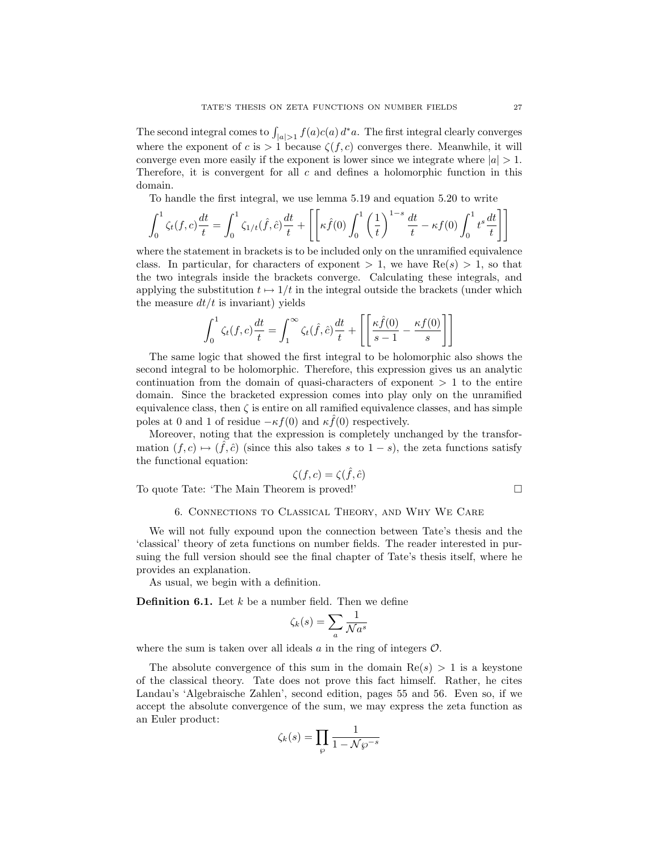The second integral comes to  $\int_{|a|>1} f(a)c(a) d^*a$ . The first integral clearly converges where the exponent of c is  $> 1$  because  $\zeta(f, c)$  converges there. Meanwhile, it will converge even more easily if the exponent is lower since we integrate where  $|a| > 1$ . Therefore, it is convergent for all  $c$  and defines a holomorphic function in this domain.

To handle the first integral, we use lemma 5.19 and equation 5.20 to write

$$
\int_0^1 \zeta_t(f,c) \frac{dt}{t} = \int_0^1 \zeta_{1/t}(\hat{f},\hat{c}) \frac{dt}{t} + \left[ \left[ \kappa \hat{f}(0) \int_0^1 \left( \frac{1}{t} \right)^{1-s} \frac{dt}{t} - \kappa f(0) \int_0^1 t^s \frac{dt}{t} \right] \right]
$$

where the statement in brackets is to be included only on the unramified equivalence class. In particular, for characters of exponent  $> 1$ , we have Re(s)  $> 1$ , so that the two integrals inside the brackets converge. Calculating these integrals, and applying the substitution  $t \mapsto 1/t$  in the integral outside the brackets (under which the measure  $dt/t$  is invariant) yields

$$
\int_0^1 \zeta_t(f,c) \frac{dt}{t} = \int_1^\infty \zeta_t(\hat{f},\hat{c}) \frac{dt}{t} + \left[ \left[ \frac{\kappa \hat{f}(0)}{s-1} - \frac{\kappa f(0)}{s} \right] \right]
$$

The same logic that showed the first integral to be holomorphic also shows the second integral to be holomorphic. Therefore, this expression gives us an analytic continuation from the domain of quasi-characters of exponent  $> 1$  to the entire domain. Since the bracketed expression comes into play only on the unramified equivalence class, then  $\zeta$  is entire on all ramified equivalence classes, and has simple poles at 0 and 1 of residue  $-\kappa f(0)$  and  $\kappa \hat{f}(0)$  respectively.

Moreover, noting that the expression is completely unchanged by the transformation  $(f, c) \mapsto (\hat{f}, \hat{c})$  (since this also takes s to  $1 - s$ ), the zeta functions satisfy the functional equation:

$$
\zeta(f,c) = \zeta(\hat{f},\hat{c})
$$

To quote Tate: 'The Main Theorem is proved!'

$$
\Box
$$

### 6. Connections to Classical Theory, and Why We Care

We will not fully expound upon the connection between Tate's thesis and the 'classical' theory of zeta functions on number fields. The reader interested in pursuing the full version should see the final chapter of Tate's thesis itself, where he provides an explanation.

As usual, we begin with a definition.

**Definition 6.1.** Let  $k$  be a number field. Then we define

$$
\zeta_k(s) = \sum_a \frac{1}{\sqrt{a^s}}
$$

where the sum is taken over all ideals  $\alpha$  in the ring of integers  $\mathcal{O}$ .

The absolute convergence of this sum in the domain  $Re(s) > 1$  is a keystone of the classical theory. Tate does not prove this fact himself. Rather, he cites Landau's 'Algebraische Zahlen', second edition, pages 55 and 56. Even so, if we accept the absolute convergence of the sum, we may express the zeta function as an Euler product:

$$
\zeta_k(s)=\prod_{\wp}\frac{1}{1-\mathcal{N}\wp^{-s}}
$$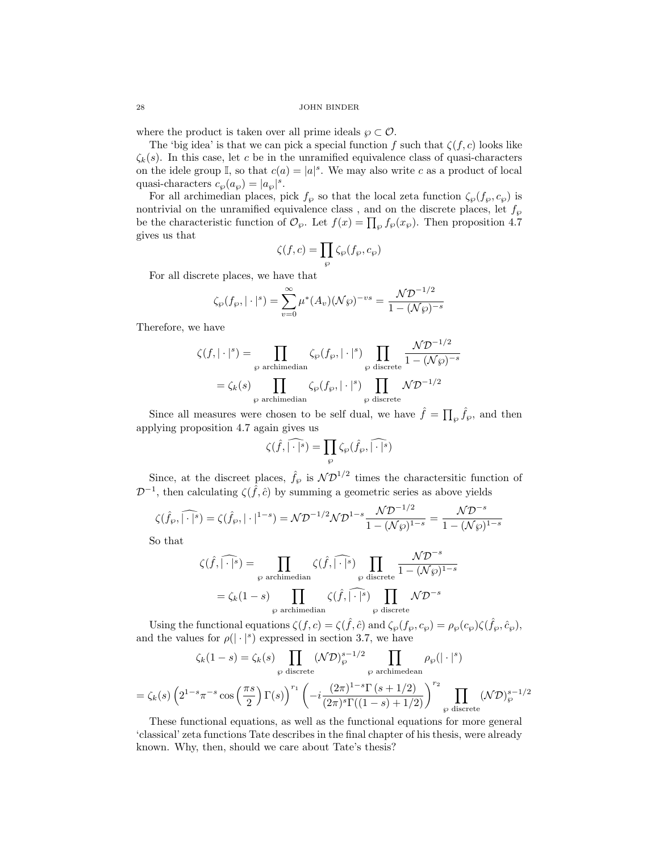where the product is taken over all prime ideals  $\wp \subset \mathcal{O}$ .

The 'big idea' is that we can pick a special function f such that  $\zeta(f, c)$  looks like  $\zeta_k(s)$ . In this case, let c be in the unramified equivalence class of quasi-characters on the idele group I, so that  $c(a) = |a|^s$ . We may also write c as a product of local quasi-characters  $c_{\wp}(a_{\wp}) = |a_{\wp}|^{s}$ .

For all archimedian places, pick  $f_{\wp}$  so that the local zeta function  $\zeta_{\wp}(f_{\wp}, c_{\wp})$  is nontrivial on the unramified equivalence class , and on the discrete places, let  $f_\wp$ be the characteristic function of  $\mathcal{O}_{\wp}$ . Let  $f(x) = \prod_{\wp} f_{\wp}(x_{\wp})$ . Then proposition 4.7 gives us that

$$
\zeta(f,c)=\prod_\wp \zeta_\wp(f_\wp,c_\wp)
$$

For all discrete places, we have that

$$
\zeta_{\wp}(f_{\wp}, |\cdot|^s) = \sum_{v=0}^{\infty} \mu^*(A_v) (\mathcal{N}\wp)^{-vs} = \frac{\mathcal{N}\mathcal{D}^{-1/2}}{1 - (\mathcal{N}\wp)^{-s}}
$$

Therefore, we have

$$
\zeta(f, |\cdot|^s) = \prod_{\wp \text{ archimedian}} \zeta_{\wp}(f_{\wp}, |\cdot|^s) \prod_{\wp \text{ discrete}} \frac{\mathcal{N}D^{-1/2}}{1 - (\mathcal{N}\wp)^{-s}}
$$

$$
= \zeta_k(s) \prod_{\wp \text{ archimedian}} \zeta_{\wp}(f_{\wp}, |\cdot|^s) \prod_{\wp \text{ discrete}} \mathcal{N}D^{-1/2}
$$

Since all measures were chosen to be self dual, we have  $\hat{f} = \prod_{\wp} \hat{f}_{\wp}$ , and then applying proposition 4.7 again gives us

$$
\zeta(\widehat{f},\widehat{|\cdot|^s})=\prod_{\wp}\zeta_\wp(\widehat{f}_\wp,\widehat{|\cdot|^s})
$$

Since, at the discreet places,  $\hat{f}_{\wp}$  is  $\mathcal{ND}^{1/2}$  times the charactersitic function of  $\mathcal{D}^{-1}$ , then calculating  $\zeta(\hat{f}, \hat{c})$  by summing a geometric series as above yields

$$
\zeta(\hat{f}_{\wp},\widehat{|\cdot|^s}) = \zeta(\hat{f}_{\wp},|\cdot|^{1-s}) = \mathcal{N}\mathcal{D}^{-1/2}\mathcal{N}\mathcal{D}^{1-s}\frac{\mathcal{N}\mathcal{D}^{-1/2}}{1-(\mathcal{N}\wp)^{1-s}} = \frac{\mathcal{N}\mathcal{D}^{-s}}{1-(\mathcal{N}\wp)^{1-s}}
$$

So that

$$
\zeta(\widehat{f}, \widehat{|\cdot|^s}) = \prod_{\wp \text{ archimedian}} \zeta(\widehat{f}, \widehat{|\cdot|^s}) \prod_{\wp \text{ discrete}} \frac{\mathcal{N}\mathcal{D}^{-s}}{1 - (\mathcal{N}\wp)^{1-s}}
$$

$$
= \zeta_k(1-s) \prod_{\wp \text{ archimedian}} \zeta(\widehat{f}, \widehat{|\cdot|^s}) \prod_{\wp \text{ discrete}} \mathcal{N}\mathcal{D}^{-s}
$$

Using the functional equations  $\zeta(f,c) = \zeta(\hat{f},\hat{c})$  and  $\zeta_{\wp}(f_{\wp},c_{\wp}) = \rho_{\wp}(c_{\wp})\zeta(\hat{f}_{\wp},\hat{c}_{\wp}),$ and the values for  $\rho(|\cdot|^s)$  expressed in section 3.7, we have

$$
\zeta_k(1-s) = \zeta_k(s) \prod_{\wp \text{ discrete}} (\mathcal{N}\mathcal{D})_{\wp}^{s-1/2} \prod_{\wp \text{ architecture}
$$

$$
= \zeta_k(s) \left(2^{1-s}\pi^{-s}\cos\left(\frac{\pi s}{2}\right)\Gamma(s)\right)^{r_1} \left(-i\frac{(2\pi)^{1-s}\Gamma(s+1/2)}{(2\pi)^s\Gamma((1-s)+1/2)}\right)^{r_2} \prod_{\wp \text{ discrete}} (\mathcal{N}\mathcal{D})_{\wp}^{s-1/2}
$$

These functional equations, as well as the functional equations for more general 'classical' zeta functions Tate describes in the final chapter of his thesis, were already known. Why, then, should we care about Tate's thesis?